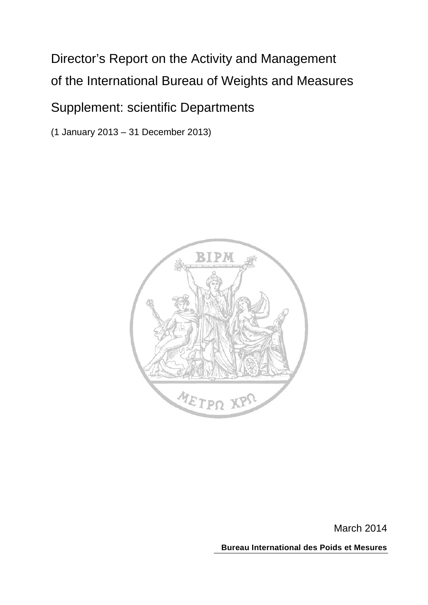# Director's Report on the Activity and Management of the International Bureau of Weights and Measures

# Supplement: scientific Departments

(1 January 2013 – 31 December 2013)



March 2014

**Bureau International des Poids et Mesures**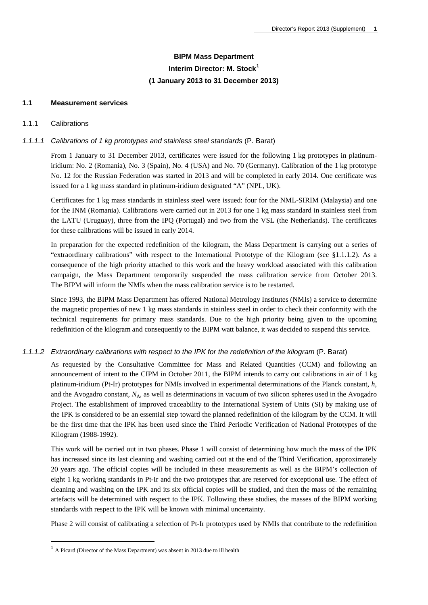# **BIPM Mass Department Interim Director: M. Stock[1](#page-1-0) (1 January 2013 to 31 December 2013)**

### **1.1 Measurement services**

### 1.1.1 Calibrations

 $\overline{a}$ 

### *1.1.1.1 Calibrations of 1 kg prototypes and stainless steel standards* (P. Barat)

From 1 January to 31 December 2013, certificates were issued for the following 1 kg prototypes in platinumiridium: No. 2 (Romania), No. 3 (Spain), No. 4 (USA) and No. 70 (Germany). Calibration of the 1 kg prototype No. 12 for the Russian Federation was started in 2013 and will be completed in early 2014. One certificate was issued for a 1 kg mass standard in platinum-iridium designated "A" (NPL, UK).

Certificates for 1 kg mass standards in stainless steel were issued: four for the NML-SIRIM (Malaysia) and one for the INM (Romania). Calibrations were carried out in 2013 for one 1 kg mass standard in stainless steel from the LATU (Uruguay), three from the IPQ (Portugal) and two from the VSL (the Netherlands). The certificates for these calibrations will be issued in early 2014.

In preparation for the expected redefinition of the kilogram, the Mass Department is carrying out a series of "extraordinary calibrations" with respect to the International Prototype of the Kilogram (see §1.1.1.2). As a consequence of the high priority attached to this work and the heavy workload associated with this calibration campaign, the Mass Department temporarily suspended the mass calibration service from October 2013. The BIPM will inform the NMIs when the mass calibration service is to be restarted.

Since 1993, the BIPM Mass Department has offered National Metrology Institutes (NMIs) a service to determine the magnetic properties of new 1 kg mass standards in stainless steel in order to check their conformity with the technical requirements for primary mass standards. Due to the high priority being given to the upcoming redefinition of the kilogram and consequently to the BIPM watt balance, it was decided to suspend this service.

#### *1.1.1.2 Extraordinary calibrations with respect to the IPK for the redefinition of the kilogram* (P. Barat)

As requested by the Consultative Committee for Mass and Related Quantities (CCM) and following an announcement of intent to the CIPM in October 2011, the BIPM intends to carry out calibrations in air of 1 kg platinum-iridium (Pt-Ir) prototypes for NMIs involved in experimental determinations of the Planck constant, *h*, and the Avogadro constant,  $N_A$ , as well as determinations in vacuum of two silicon spheres used in the Avogadro Project. The establishment of improved traceability to the International System of Units (SI) by making use of the IPK is considered to be an essential step toward the planned redefinition of the kilogram by the CCM. It will be the first time that the IPK has been used since the Third Periodic Verification of National Prototypes of the Kilogram (1988-1992).

This work will be carried out in two phases. Phase 1 will consist of determining how much the mass of the IPK has increased since its last cleaning and washing carried out at the end of the Third Verification, approximately 20 years ago. The official copies will be included in these measurements as well as the BIPM's collection of eight 1 kg working standards in Pt-Ir and the two prototypes that are reserved for exceptional use. The effect of cleaning and washing on the IPK and its six official copies will be studied, and then the mass of the remaining artefacts will be determined with respect to the IPK. Following these studies, the masses of the BIPM working standards with respect to the IPK will be known with minimal uncertainty.

Phase 2 will consist of calibrating a selection of Pt-Ir prototypes used by NMIs that contribute to the redefinition

<span id="page-1-0"></span> $1$  A Picard (Director of the Mass Department) was absent in 2013 due to ill health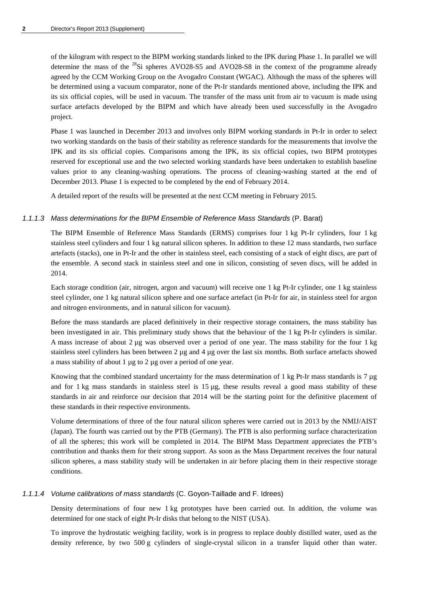of the kilogram with respect to the BIPM working standards linked to the IPK during Phase 1. In parallel we will determine the mass of the  $^{28}Si$  spheres AVO28-S5 and AVO28-S8 in the context of the programme already agreed by the CCM Working Group on the Avogadro Constant (WGAC). Although the mass of the spheres will be determined using a vacuum comparator, none of the Pt-Ir standards mentioned above, including the IPK and its six official copies, will be used in vacuum. The transfer of the mass unit from air to vacuum is made using surface artefacts developed by the BIPM and which have already been used successfully in the Avogadro project.

Phase 1 was launched in December 2013 and involves only BIPM working standards in Pt-Ir in order to select two working standards on the basis of their stability as reference standards for the measurements that involve the IPK and its six official copies. Comparisons among the IPK, its six official copies, two BIPM prototypes reserved for exceptional use and the two selected working standards have been undertaken to establish baseline values prior to any cleaning-washing operations. The process of cleaning-washing started at the end of December 2013. Phase 1 is expected to be completed by the end of February 2014.

A detailed report of the results will be presented at the next CCM meeting in February 2015.

### *1.1.1.3 Mass determinations for the BIPM Ensemble of Reference Mass Standards* (P. Barat)

The BIPM Ensemble of Reference Mass Standards (ERMS) comprises four 1 kg Pt-Ir cylinders, four 1 kg stainless steel cylinders and four 1 kg natural silicon spheres. In addition to these 12 mass standards, two surface artefacts (stacks), one in Pt-Ir and the other in stainless steel, each consisting of a stack of eight discs, are part of the ensemble. A second stack in stainless steel and one in silicon, consisting of seven discs, will be added in 2014.

Each storage condition (air, nitrogen, argon and vacuum) will receive one 1 kg Pt-Ir cylinder, one 1 kg stainless steel cylinder, one 1 kg natural silicon sphere and one surface artefact (in Pt-Ir for air, in stainless steel for argon and nitrogen environments, and in natural silicon for vacuum).

Before the mass standards are placed definitively in their respective storage containers, the mass stability has been investigated in air. This preliminary study shows that the behaviour of the 1 kg Pt-Ir cylinders is similar. A mass increase of about  $2 \mu$ g was observed over a period of one year. The mass stability for the four 1 kg stainless steel cylinders has been between 2 µg and 4 µg over the last six months. Both surface artefacts showed a mass stability of about 1 µg to 2 µg over a period of one year.

Knowing that the combined standard uncertainty for the mass determination of 1 kg Pt-Ir mass standards is 7  $\mu$ g and for 1 kg mass standards in stainless steel is  $15 \mu$ g, these results reveal a good mass stability of these standards in air and reinforce our decision that 2014 will be the starting point for the definitive placement of these standards in their respective environments.

Volume determinations of three of the four natural silicon spheres were carried out in 2013 by the NMIJ/AIST (Japan). The fourth was carried out by the PTB (Germany). The PTB is also performing surface characterization of all the spheres; this work will be completed in 2014. The BIPM Mass Department appreciates the PTB's contribution and thanks them for their strong support. As soon as the Mass Department receives the four natural silicon spheres, a mass stability study will be undertaken in air before placing them in their respective storage conditions.

### *1.1.1.4 Volume calibrations of mass standards* (C. Goyon-Taillade and F. Idrees)

Density determinations of four new 1 kg prototypes have been carried out. In addition, the volume was determined for one stack of eight Pt-Ir disks that belong to the NIST (USA).

To improve the hydrostatic weighing facility, work is in progress to replace doubly distilled water, used as the density reference, by two 500 g cylinders of single-crystal silicon in a transfer liquid other than water.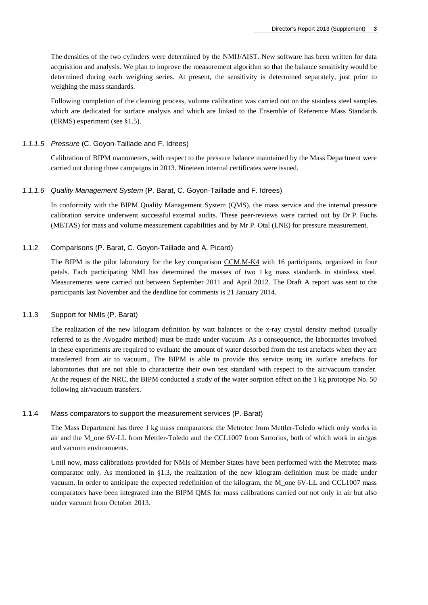The densities of the two cylinders were determined by the NMIJ/AIST. New software has been written for data acquisition and analysis. We plan to improve the measurement algorithm so that the balance sensitivity would be determined during each weighing series. At present, the sensitivity is determined separately, just prior to weighing the mass standards.

Following completion of the cleaning process, volume calibration was carried out on the stainless steel samples which are dedicated for surface analysis and which are linked to the Ensemble of Reference Mass Standards (ERMS) experiment (see §1.5).

### *1.1.1.5 Pressure* (C. Goyon-Taillade and F. Idrees)

Calibration of BIPM manometers, with respect to the pressure balance maintained by the Mass Department were carried out during three campaigns in 2013. Nineteen internal certificates were issued.

### *1.1.1.6 Quality Management System* (P. Barat, C. Goyon-Taillade and F. Idrees)

In conformity with the BIPM Quality Management System (QMS), the mass service and the internal pressure calibration service underwent successful external audits. These peer-reviews were carried out by Dr P. Fuchs (METAS) for mass and volume measurement capabilities and by Mr P. Otal (LNE) for pressure measurement.

### 1.1.2 Comparisons (P. Barat, C. Goyon-Taillade and A. Picard)

The BIPM is the pilot laboratory for the key comparison [CCM.M-K4](http://kcdb.bipm.org/appendixB/KCDB_ApB_info.asp?cmp_idy=403&cmp_cod=CCM.M-K4&prov=exalead) with 16 participants, organized in four petals. Each participating NMI has determined the masses of two 1 kg mass standards in stainless steel. Measurements were carried out between September 2011 and April 2012. The Draft A report was sent to the participants last November and the deadline for comments is 21 January 2014.

### 1.1.3 Support for NMIs (P. Barat)

The realization of the new kilogram definition by watt balances or the x-ray crystal density method (usually referred to as the Avogadro method) must be made under vacuum. As a consequence, the laboratories involved in these experiments are required to evaluate the amount of water desorbed from the test artefacts when they are transferred from air to vacuum., The BIPM is able to provide this service using its surface artefacts for laboratories that are not able to characterize their own test standard with respect to the air/vacuum transfer. At the request of the NRC, the BIPM conducted a study of the water sorption effect on the 1 kg prototype No. 50 following air/vacuum transfers.

#### 1.1.4 Mass comparators to support the measurement services (P. Barat)

The Mass Department has three 1 kg mass comparators: the Metrotec from Mettler-Toledo which only works in air and the M\_one 6V-LL from Mettler-Toledo and the CCL1007 from Sartorius, both of which work in air/gas and vacuum environments.

Until now, mass calibrations provided for NMIs of Member States have been performed with the Metrotec mass comparator only. As mentioned in §1.3, the realization of the new kilogram definition must be made under vacuum. In order to anticipate the expected redefinition of the kilogram, the M\_one 6V-LL and CCL1007 mass comparators have been integrated into the BIPM QMS for mass calibrations carried out not only in air but also under vacuum from October 2013.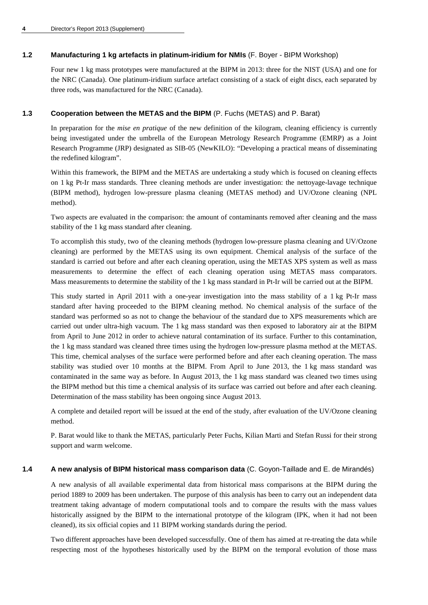### **1.2 Manufacturing 1 kg artefacts in platinum-iridium for NMIs** (F. Boyer - BIPM Workshop)

Four new 1 kg mass prototypes were manufactured at the BIPM in 2013: three for the NIST (USA) and one for the NRC (Canada). One platinum-iridium surface artefact consisting of a stack of eight discs, each separated by three rods, was manufactured for the NRC (Canada).

### **1.3 Cooperation between the METAS and the BIPM** (P. Fuchs (METAS) and P. Barat)

In preparation for the *mise en pratique* of the new definition of the kilogram, cleaning efficiency is currently being investigated under the umbrella of the European Metrology Research Programme (EMRP) as a Joint Research Programme (JRP) designated as SIB-05 (NewKILO): "Developing a practical means of disseminating the redefined kilogram".

Within this framework, the BIPM and the METAS are undertaking a study which is focused on cleaning effects on 1 kg Pt-Ir mass standards. Three cleaning methods are under investigation: the nettoyage-lavage technique (BIPM method), hydrogen low-pressure plasma cleaning (METAS method) and UV/Ozone cleaning (NPL method).

Two aspects are evaluated in the comparison: the amount of contaminants removed after cleaning and the mass stability of the 1 kg mass standard after cleaning.

To accomplish this study, two of the cleaning methods (hydrogen low-pressure plasma cleaning and UV/Ozone cleaning) are performed by the METAS using its own equipment. Chemical analysis of the surface of the standard is carried out before and after each cleaning operation, using the METAS XPS system as well as mass measurements to determine the effect of each cleaning operation using METAS mass comparators. Mass measurements to determine the stability of the 1 kg mass standard in Pt-Ir will be carried out at the BIPM.

This study started in April 2011 with a one-year investigation into the mass stability of a 1 kg Pt-Ir mass standard after having proceeded to the BIPM cleaning method. No chemical analysis of the surface of the standard was performed so as not to change the behaviour of the standard due to XPS measurements which are carried out under ultra-high vacuum. The 1 kg mass standard was then exposed to laboratory air at the BIPM from April to June 2012 in order to achieve natural contamination of its surface. Further to this contamination, the 1 kg mass standard was cleaned three times using the hydrogen low-pressure plasma method at the METAS. This time, chemical analyses of the surface were performed before and after each cleaning operation. The mass stability was studied over 10 months at the BIPM. From April to June 2013, the 1 kg mass standard was contaminated in the same way as before. In August 2013, the 1 kg mass standard was cleaned two times using the BIPM method but this time a chemical analysis of its surface was carried out before and after each cleaning. Determination of the mass stability has been ongoing since August 2013.

A complete and detailed report will be issued at the end of the study, after evaluation of the UV/Ozone cleaning method.

P. Barat would like to thank the METAS, particularly Peter Fuchs, Kilian Marti and Stefan Russi for their strong support and warm welcome.

### **1.4 A new analysis of BIPM historical mass comparison data** (C. Goyon-Taillade and E. de Mirandés)

A new analysis of all available experimental data from historical mass comparisons at the BIPM during the period 1889 to 2009 has been undertaken. The purpose of this analysis has been to carry out an independent data treatment taking advantage of modern computational tools and to compare the results with the mass values historically assigned by the BIPM to the international prototype of the kilogram (IPK, when it had not been cleaned), its six official copies and 11 BIPM working standards during the period.

Two different approaches have been developed successfully. One of them has aimed at re-treating the data while respecting most of the hypotheses historically used by the BIPM on the temporal evolution of those mass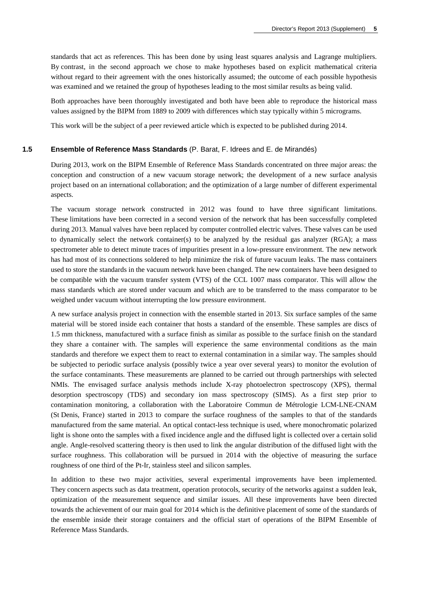standards that act as references. This has been done by using least squares analysis and Lagrange multipliers. By contrast, in the second approach we chose to make hypotheses based on explicit mathematical criteria without regard to their agreement with the ones historically assumed; the outcome of each possible hypothesis was examined and we retained the group of hypotheses leading to the most similar results as being valid.

Both approaches have been thoroughly investigated and both have been able to reproduce the historical mass values assigned by the BIPM from 1889 to 2009 with differences which stay typically within 5 micrograms.

This work will be the subject of a peer reviewed article which is expected to be published during 2014.

#### **1.5 Ensemble of Reference Mass Standards** (P. Barat, F. Idrees and E. de Mirandés)

During 2013, work on the BIPM Ensemble of Reference Mass Standards concentrated on three major areas: the conception and construction of a new vacuum storage network; the development of a new surface analysis project based on an international collaboration; and the optimization of a large number of different experimental aspects.

The vacuum storage network constructed in 2012 was found to have three significant limitations. These limitations have been corrected in a second version of the network that has been successfully completed during 2013. Manual valves have been replaced by computer controlled electric valves. These valves can be used to dynamically select the network container(s) to be analyzed by the residual gas analyzer (RGA); a mass spectrometer able to detect minute traces of impurities present in a low-pressure environment. The new network has had most of its connections soldered to help minimize the risk of future vacuum leaks. The mass containers used to store the standards in the vacuum network have been changed. The new containers have been designed to be compatible with the vacuum transfer system (VTS) of the CCL 1007 mass comparator. This will allow the mass standards which are stored under vacuum and which are to be transferred to the mass comparator to be weighed under vacuum without interrupting the low pressure environment.

A new surface analysis project in connection with the ensemble started in 2013. Six surface samples of the same material will be stored inside each container that hosts a standard of the ensemble. These samples are discs of 1.5 mm thickness, manufactured with a surface finish as similar as possible to the surface finish on the standard they share a container with. The samples will experience the same environmental conditions as the main standards and therefore we expect them to react to external contamination in a similar way. The samples should be subjected to periodic surface analysis (possibly twice a year over several years) to monitor the evolution of the surface contaminants. These measurements are planned to be carried out through partnerships with selected NMIs. The envisaged surface analysis methods include X-ray photoelectron spectroscopy (XPS), thermal desorption spectroscopy (TDS) and secondary ion mass spectroscopy (SIMS). As a first step prior to contamination monitoring, a collaboration with the Laboratoire Commun de Métrologie LCM-LNE-CNAM (St Denis, France) started in 2013 to compare the surface roughness of the samples to that of the standards manufactured from the same material. An optical contact-less technique is used, where monochromatic polarized light is shone onto the samples with a fixed incidence angle and the diffused light is collected over a certain solid angle. Angle-resolved scattering theory is then used to link the angular distribution of the diffused light with the surface roughness. This collaboration will be pursued in 2014 with the objective of measuring the surface roughness of one third of the Pt-Ir, stainless steel and silicon samples.

In addition to these two major activities, several experimental improvements have been implemented. They concern aspects such as data treatment, operation protocols, security of the networks against a sudden leak, optimization of the measurement sequence and similar issues. All these improvements have been directed towards the achievement of our main goal for 2014 which is the definitive placement of some of the standards of the ensemble inside their storage containers and the official start of operations of the BIPM Ensemble of Reference Mass Standards.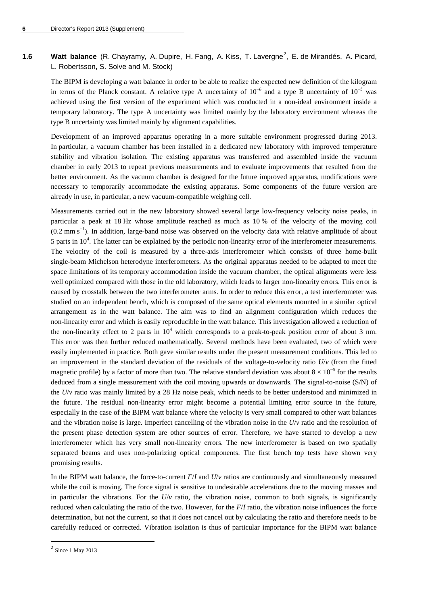### 1.6 Watt balance (R. Chayramy, A. Dupire, H. Fang, A. Kiss, T. Lavergne<sup>[2](#page-6-0)</sup>, E. de Mirandés, A. Picard, L. Robertsson, S. Solve and M. Stock)

The BIPM is developing a watt balance in order to be able to realize the expected new definition of the kilogram in terms of the Planck constant. A relative type A uncertainty of  $10^{-6}$  and a type B uncertainty of  $10^{-5}$  was achieved using the first version of the experiment which was conducted in a non-ideal environment inside a temporary laboratory. The type A uncertainty was limited mainly by the laboratory environment whereas the type B uncertainty was limited mainly by alignment capabilities.

Development of an improved apparatus operating in a more suitable environment progressed during 2013. In particular, a vacuum chamber has been installed in a dedicated new laboratory with improved temperature stability and vibration isolation. The existing apparatus was transferred and assembled inside the vacuum chamber in early 2013 to repeat previous measurements and to evaluate improvements that resulted from the better environment. As the vacuum chamber is designed for the future improved apparatus, modifications were necessary to temporarily accommodate the existing apparatus. Some components of the future version are already in use, in particular, a new vacuum-compatible weighing cell.

Measurements carried out in the new laboratory showed several large low-frequency velocity noise peaks, in particular a peak at 18 Hz whose amplitude reached as much as 10 % of the velocity of the moving coil  $(0.2 \text{ mm s}^{-1})$ . In addition, large-band noise was observed on the velocity data with relative amplitude of about 5 parts in  $10<sup>4</sup>$ . The latter can be explained by the periodic non-linearity error of the interferometer measurements. The velocity of the coil is measured by a three-axis interferometer which consists of three home-built single-beam Michelson heterodyne interferometers. As the original apparatus needed to be adapted to meet the space limitations of its temporary accommodation inside the vacuum chamber, the optical alignments were less well optimized compared with those in the old laboratory, which leads to larger non-linearity errors. This error is caused by crosstalk between the two interferometer arms. In order to reduce this error, a test interferometer was studied on an independent bench, which is composed of the same optical elements mounted in a similar optical arrangement as in the watt balance. The aim was to find an alignment configuration which reduces the non-linearity error and which is easily reproducible in the watt balance. This investigation allowed a reduction of the non-linearity effect to 2 parts in  $10^4$  which corresponds to a peak-to-peak position error of about 3 nm. This error was then further reduced mathematically. Several methods have been evaluated, two of which were easily implemented in practice. Both gave similar results under the present measurement conditions. This led to an improvement in the standard deviation of the residuals of the voltage-to-velocity ratio *U*/*v* (from the fitted magnetic profile) by a factor of more than two. The relative standard deviation was about  $8 \times 10^{-5}$  for the results deduced from a single measurement with the coil moving upwards or downwards. The signal-to-noise (S/N) of the *U*/*v* ratio was mainly limited by a 28 Hz noise peak, which needs to be better understood and minimized in the future. The residual non-linearity error might become a potential limiting error source in the future, especially in the case of the BIPM watt balance where the velocity is very small compared to other watt balances and the vibration noise is large. Imperfect cancelling of the vibration noise in the *U*/*v* ratio and the resolution of the present phase detection system are other sources of error. Therefore, we have started to develop a new interferometer which has very small non-linearity errors. The new interferometer is based on two spatially separated beams and uses non-polarizing optical components. The first bench top tests have shown very promising results.

In the BIPM watt balance, the force-to-current *F*/*I* and *U*/*v* ratios are continuously and simultaneously measured while the coil is moving. The force signal is sensitive to undesirable accelerations due to the moving masses and in particular the vibrations. For the  $U/\nu$  ratio, the vibration noise, common to both signals, is significantly reduced when calculating the ratio of the two. However, for the *F*/*I* ratio, the vibration noise influences the force determination, but not the current, so that it does not cancel out by calculating the ratio and therefore needs to be carefully reduced or corrected. Vibration isolation is thus of particular importance for the BIPM watt balance

 $\overline{a}$ 

<span id="page-6-0"></span> $2$  Since 1 May 2013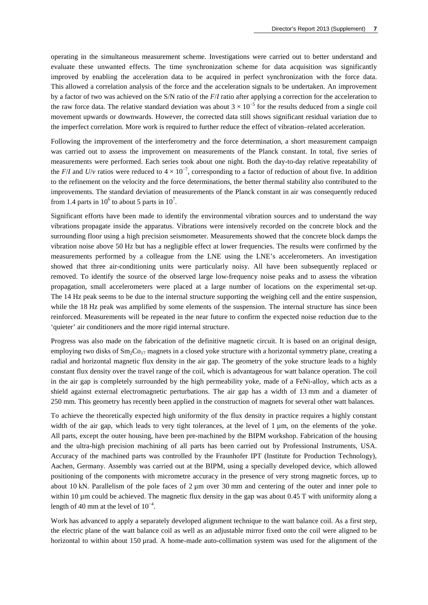operating in the simultaneous measurement scheme. Investigations were carried out to better understand and evaluate these unwanted effects. The time synchronization scheme for data acquisition was significantly improved by enabling the acceleration data to be acquired in perfect synchronization with the force data. This allowed a correlation analysis of the force and the acceleration signals to be undertaken. An improvement by a factor of two was achieved on the S/N ratio of the *F*/*I* ratio after applying a correction for the acceleration to the raw force data. The relative standard deviation was about  $3 \times 10^{-5}$  for the results deduced from a single coil movement upwards or downwards. However, the corrected data still shows significant residual variation due to the imperfect correlation. More work is required to further reduce the effect of vibration–related acceleration.

Following the improvement of the interferometry and the force determination, a short measurement campaign was carried out to assess the improvement on measurements of the Planck constant. In total, five series of measurements were performed. Each series took about one night. Both the day-to-day relative repeatability of the *F*/*I* and *U*/*v* ratios were reduced to  $4 \times 10^{-7}$ , corresponding to a factor of reduction of about five. In addition to the refinement on the velocity and the force determinations, the better thermal stability also contributed to the improvements. The standard deviation of measurements of the Planck constant in air was consequently reduced from 1.4 parts in  $10^6$  to about 5 parts in  $10^7$ .

Significant efforts have been made to identify the environmental vibration sources and to understand the way vibrations propagate inside the apparatus. Vibrations were intensively recorded on the concrete block and the surrounding floor using a high precision seismometer. Measurements showed that the concrete block damps the vibration noise above 50 Hz but has a negligible effect at lower frequencies. The results were confirmed by the measurements performed by a colleague from the LNE using the LNE's accelerometers. An investigation showed that three air-conditioning units were particularly noisy. All have been subsequently replaced or removed. To identify the source of the observed large low-frequency noise peaks and to assess the vibration propagation, small accelerometers were placed at a large number of locations on the experimental set-up. The 14 Hz peak seems to be due to the internal structure supporting the weighing cell and the entire suspension, while the 18 Hz peak was amplified by some elements of the suspension. The internal structure has since been reinforced. Measurements will be repeated in the near future to confirm the expected noise reduction due to the 'quieter' air conditioners and the more rigid internal structure.

Progress was also made on the fabrication of the definitive magnetic circuit. It is based on an original design, employing two disks of  $Sm_2Co_{17}$  magnets in a closed yoke structure with a horizontal symmetry plane, creating a radial and horizontal magnetic flux density in the air gap. The geometry of the yoke structure leads to a highly constant flux density over the travel range of the coil, which is advantageous for watt balance operation. The coil in the air gap is completely surrounded by the high permeability yoke, made of a FeNi-alloy, which acts as a shield against external electromagnetic perturbations. The air gap has a width of 13 mm and a diameter of 250 mm. This geometry has recently been applied in the construction of magnets for several other watt balances.

To achieve the theoretically expected high uniformity of the flux density in practice requires a highly constant width of the air gap, which leads to very tight tolerances, at the level of 1  $\mu$ m, on the elements of the yoke. All parts, except the outer housing, have been pre-machined by the BIPM workshop. Fabrication of the housing and the ultra-high precision machining of all parts has been carried out by Professional Instruments, USA. Accuracy of the machined parts was controlled by the Fraunhofer IPT (Institute for Production Technology), Aachen, Germany. Assembly was carried out at the BIPM, using a specially developed device, which allowed positioning of the components with micrometre accuracy in the presence of very strong magnetic forces, up to about 10 kN. Parallelism of the pole faces of  $2 \mu m$  over 30 mm and centering of the outer and inner pole to within 10  $\mu$ m could be achieved. The magnetic flux density in the gap was about 0.45 T with uniformity along a length of 40 mm at the level of  $10^{-4}$ .

Work has advanced to apply a separately developed alignment technique to the watt balance coil. As a first step, the electric plane of the watt balance coil as well as an adjustable mirror fixed onto the coil were aligned to be horizontal to within about 150 urad. A home-made auto-collimation system was used for the alignment of the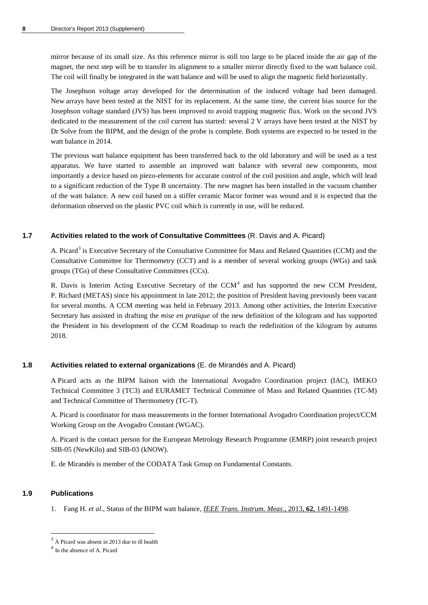mirror because of its small size. As this reference mirror is still too large to be placed inside the air gap of the magnet, the next step will be to transfer its alignment to a smaller mirror directly fixed to the watt balance coil. The coil will finally be integrated in the watt balance and will be used to align the magnetic field horizontally.

The Josephson voltage array developed for the determination of the induced voltage had been damaged. New arrays have been tested at the NIST for its replacement. At the same time, the current bias source for the Josephson voltage standard (JVS) has been improved to avoid trapping magnetic flux. Work on the second JVS dedicated to the measurement of the coil current has started: several 2 V arrays have been tested at the NIST by Dr Solve from the BIPM, and the design of the probe is complete. Both systems are expected to be tested in the watt balance in 2014.

The previous watt balance equipment has been transferred back to the old laboratory and will be used as a test apparatus. We have started to assemble an improved watt balance with several new components, most importantly a device based on piezo-elements for accurate control of the coil position and angle, which will lead to a significant reduction of the Type B uncertainty. The new magnet has been installed in the vacuum chamber of the watt balance. A new coil based on a stiffer ceramic Macor former was wound and it is expected that the deformation observed on the plastic PVC coil which is currently in use, will be reduced.

### **1.7 Activities related to the work of Consultative Committees** (R. Davis and A. Picard)

A. Picard<sup>[3](#page-8-0)</sup> is Executive Secretary of the Consultative Committee for Mass and Related Quantities (CCM) and the Consultative Committee for Thermometry (CCT) and is a member of several working groups (WGs) and task groups (TGs) of these Consultative Committees (CCs).

R. Davis is Interim Acting Executive Secretary of the  $CCM<sup>4</sup>$  $CCM<sup>4</sup>$  $CCM<sup>4</sup>$  and has supported the new CCM President, P. Richard (METAS) since his appointment in late 2012; the position of President having previously been vacant for several months. A CCM meeting was held in February 2013. Among other activities, the Interim Executive Secretary has assisted in drafting the *mise en pratique* of the new definition of the kilogram and has supported the President in his development of the CCM Roadmap to reach the redefinition of the kilogram by autumn 2018.

### **1.8 Activities related to external organizations** (E. de Mirandés and A. Picard)

A Picard acts as the BIPM liaison with the International Avogadro Coordination project (IAC), IMEKO Technical Committee 3 (TC3) and EURAMET Technical Committee of Mass and Related Quantities (TC-M) and Technical Committee of Thermometry (TC-T).

A. Picard is coordinator for mass measurements in the former International Avogadro Coordination project/CCM Working Group on the Avogadro Constant (WGAC).

A. Picard is the contact person for the European Metrology Research Programme (EMRP) joint research project SIB-05 (NewKilo) and SIB-03 (kNOW).

E. de Mirandés is member of the CODATA Task Group on Fundamental Constants.

### **1.9 Publications**

 $\overline{a}$ 

1. Fang H. *et al*., Status of the BIPM watt balance, *[IEEE Trans. Instrum. Meas.](http://dx.doi.org/10.1109/TIM.2012.2225930)*, 2013, **62**, 1491-1498.

<span id="page-8-0"></span><sup>&</sup>lt;sup>3</sup> A Picard was absent in 2013 due to ill health

<span id="page-8-1"></span><sup>4</sup> In the absence of A. Picard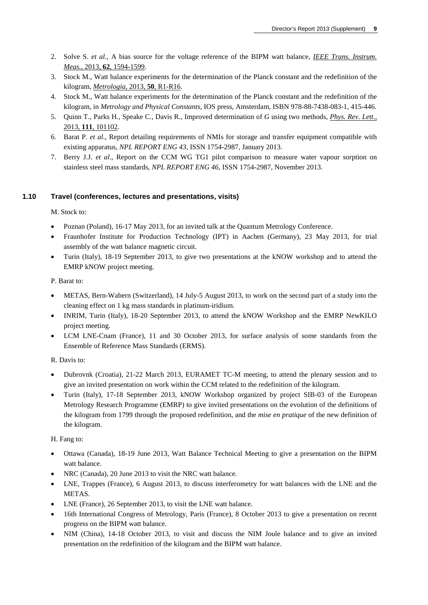- 2. Solve S. *et al.,* A bias source for the voltage reference of the BIPM watt balance, *[IEEE Trans. Instrum.](http://dx.doi.org/10.1109/TIM.2013.2242641)  Meas.*, 2013, **62**[, 1594-1599.](http://dx.doi.org/10.1109/TIM.2013.2242641)
- 3. Stock M., Watt balance experiments for the determination of the Planck constant and the redefinition of the kilogram, *[Metrologia](http://stacks.iop.org/0026-1394/50/R1)*, 2013, **50**, R1-R16.
- 4. Stock M., Watt balance experiments for the determination of the Planck constant and the redefinition of the kilogram, in *Metrology and Physical Constants*, IOS press, Amsterdam, ISBN 978-88-7438-083-1, 415-446.
- 5. Quinn T., Parks H., Speake C., Davis R., Improved determination of *G* using two methods, *[Phys. Rev. Lett](http://www.bipm.org/utils/en/pdf/PhysRevLett.111.101102.pdf)*., 2013, **111**[, 101102.](http://www.bipm.org/utils/en/pdf/PhysRevLett.111.101102.pdf)
- 6. Barat P. *et al*., Report detailing requirements of NMIs for storage and transfer equipment compatible with existing apparatus, *NPL REPORT ENG 43*, ISSN 1754-2987, January 2013.
- 7. Berry J.J. *et al*., Report on the CCM WG TG1 pilot comparison to measure water vapour sorption on stainless steel mass standards, *NPL REPORT ENG 46*, ISSN 1754-2987, November 2013.

### **1.10 Travel (conferences, lectures and presentations, visits)**

M. Stock to:

- Poznan (Poland), 16-17 May 2013, for an invited talk at the Quantum Metrology Conference.
- Fraunhofer Institute for Production Technology (IPT) in Aachen (Germany), 23 May 2013, for trial assembly of the watt balance magnetic circuit.
- Turin (Italy), 18-19 September 2013, to give two presentations at the kNOW workshop and to attend the EMRP kNOW project meeting.

P. Barat to:

- METAS, Bern-Wabern (Switzerland), 14 July-5 August 2013, to work on the second part of a study into the cleaning effect on 1 kg mass standards in platinum-iridium.
- INRIM, Turin (Italy), 18-20 September 2013, to attend the kNOW Workshop and the EMRP NewKILO project meeting.
- LCM LNE-Cnam (France), 11 and 30 October 2013, for surface analysis of some standards from the Ensemble of Reference Mass Standards (ERMS).

R. Davis to:

- Dubrovnk (Croatia), 21-22 March 2013, EURAMET TC-M meeting, to attend the plenary session and to give an invited presentation on work within the CCM related to the redefinition of the kilogram.
- Turin (Italy), 17-18 September 2013, kNOW Workshop organized by project SIB-03 of the European Metrology Research Programme (EMRP) to give invited presentations on the evolution of the definitions of the kilogram from 1799 through the proposed redefinition, and the *mise en pratique* of the new definition of the kilogram.

H. Fang to:

- Ottawa (Canada), 18-19 June 2013, Watt Balance Technical Meeting to give a presentation on the BIPM watt balance.
- NRC (Canada), 20 June 2013 to visit the NRC watt balance.
- LNE, Trappes (France), 6 August 2013, to discuss interferometry for watt balances with the LNE and the METAS.
- LNE (France), 26 September 2013, to visit the LNE watt balance.
- 16th International Congress of Metrology, Paris (France), 8 October 2013 to give a presentation on recent progress on the BIPM watt balance.
- NIM (China), 14-18 October 2013, to visit and discuss the NIM Joule balance and to give an invited presentation on the redefinition of the kilogram and the BIPM watt balance.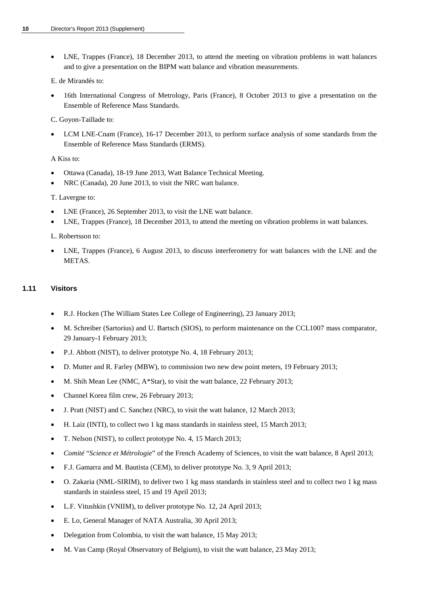• LNE, Trappes (France), 18 December 2013, to attend the meeting on vibration problems in watt balances and to give a presentation on the BIPM watt balance and vibration measurements.

E. de Mirandés to:

• 16th International Congress of Metrology, Paris (France), 8 October 2013 to give a presentation on the Ensemble of Reference Mass Standards.

C. Goyon-Taillade to:

LCM LNE-Cnam (France), 16-17 December 2013, to perform surface analysis of some standards from the Ensemble of Reference Mass Standards (ERMS).

#### A Kiss to:

- Ottawa (Canada), 18-19 June 2013, Watt Balance Technical Meeting.
- NRC (Canada), 20 June 2013, to visit the NRC watt balance.

T. Lavergne to:

- LNE (France), 26 September 2013, to visit the LNE watt balance.
- LNE, Trappes (France), 18 December 2013, to attend the meeting on vibration problems in watt balances.

L. Robertsson to:

• LNE, Trappes (France), 6 August 2013, to discuss interferometry for watt balances with the LNE and the METAS.

### **1.11 Visitors**

- R.J. Hocken (The William States Lee College of Engineering), 23 January 2013;
- M. Schreiber (Sartorius) and U. Bartsch (SIOS), to perform maintenance on the CCL1007 mass comparator, 29 January-1 February 2013;
- P.J. Abbott (NIST), to deliver prototype No. 4, 18 February 2013;
- D. Mutter and R. Farley (MBW), to commission two new dew point meters, 19 February 2013;
- M. Shih Mean Lee (NMC, A\*Star), to visit the watt balance, 22 February 2013;
- Channel Korea film crew, 26 February 2013;
- J. Pratt (NIST) and C. Sanchez (NRC), to visit the watt balance, 12 March 2013;
- H. Laiz (INTI), to collect two 1 kg mass standards in stainless steel, 15 March 2013;
- T. Nelson (NIST), to collect prototype No. 4, 15 March 2013;
- *Comité* "*Science et Métrologie*" of the French Academy of Sciences, to visit the watt balance, 8 April 2013;
- F.J. Gamarra and M. Bautista (CEM), to deliver prototype No. 3, 9 April 2013;
- O. Zakaria (NML-SIRIM), to deliver two 1 kg mass standards in stainless steel and to collect two 1 kg mass standards in stainless steel, 15 and 19 April 2013;
- L.F. Vitushkin (VNIIM), to deliver prototype No. 12, 24 April 2013;
- E. Lo, General Manager of NATA Australia, 30 April 2013;
- Delegation from Colombia, to visit the watt balance, 15 May 2013;
- M. Van Camp (Royal Observatory of Belgium), to visit the watt balance, 23 May 2013;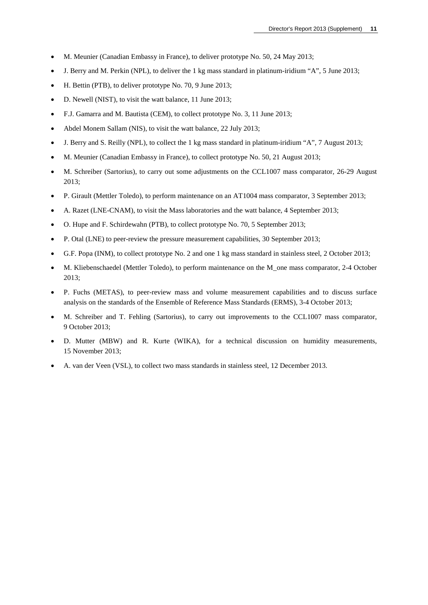- M. Meunier (Canadian Embassy in France), to deliver prototype No. 50, 24 May 2013;
- J. Berry and M. Perkin (NPL), to deliver the 1 kg mass standard in platinum-iridium "A", 5 June 2013;
- H. Bettin (PTB), to deliver prototype No. 70, 9 June 2013;
- D. Newell (NIST), to visit the watt balance, 11 June 2013;
- F.J. Gamarra and M. Bautista (CEM), to collect prototype No. 3, 11 June 2013;
- Abdel Monem Sallam (NIS), to visit the watt balance, 22 July 2013;
- J. Berry and S. Reilly (NPL), to collect the 1 kg mass standard in platinum-iridium "A", 7 August 2013;
- M. Meunier (Canadian Embassy in France), to collect prototype No. 50, 21 August 2013;
- M. Schreiber (Sartorius), to carry out some adjustments on the CCL1007 mass comparator, 26-29 August 2013;
- P. Girault (Mettler Toledo), to perform maintenance on an AT1004 mass comparator, 3 September 2013;
- A. Razet (LNE-CNAM), to visit the Mass laboratories and the watt balance, 4 September 2013;
- O. Hupe and F. Schirdewahn (PTB), to collect prototype No. 70, 5 September 2013;
- P. Otal (LNE) to peer-review the pressure measurement capabilities, 30 September 2013;
- G.F. Popa (INM), to collect prototype No. 2 and one 1 kg mass standard in stainless steel, 2 October 2013;
- M. Kliebenschaedel (Mettler Toledo), to perform maintenance on the M\_one mass comparator, 2-4 October 2013;
- P. Fuchs (METAS), to peer-review mass and volume measurement capabilities and to discuss surface analysis on the standards of the Ensemble of Reference Mass Standards (ERMS), 3-4 October 2013;
- M. Schreiber and T. Fehling (Sartorius), to carry out improvements to the CCL1007 mass comparator, 9 October 2013;
- D. Mutter (MBW) and R. Kurte (WIKA), for a technical discussion on humidity measurements, 15 November 2013;
- A. van der Veen (VSL), to collect two mass standards in stainless steel, 12 December 2013.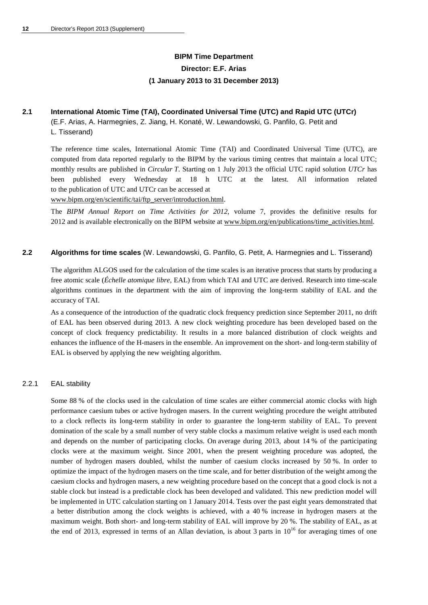# **BIPM Time Department Director: E.F. Arias (1 January 2013 to 31 December 2013)**

## **2.1 International Atomic Time (TAI), Coordinated Universal Time (UTC) and Rapid UTC (UTCr)**

(E.F. Arias, A. Harmegnies, Z. Jiang, H. Konaté, W. Lewandowski, G. Panfilo, G. Petit and L. Tisserand)

The reference time scales, International Atomic Time (TAI) and Coordinated Universal Time (UTC), are computed from data reported regularly to the BIPM by the various timing centres that maintain a local UTC; monthly results are published in *Circular T*. Starting on 1 July 2013 the official UTC rapid solution *UTCr* has been published every Wednesday at 18 h UTC at the latest. All information related to the publication of UTC and UTCr can be accessed at

[www.bipm.org/en/scientific/tai/ftp\\_server/introduction.html.](http://www.bipm.org/en/scientific/tai/ftp_server/introduction.html)

The *BIPM Annual Report on Time Activities for 2012*, volume 7, provides the definitive results for 2012 and is available electronically on the BIPM website at [www.bipm.org/en/publications/time\\_activities.html.](http://www.bipm.org/en/publications/time_activities.html)

### **2.2 Algorithms for time scales** (W. Lewandowski, G. Panfilo, G. Petit, A. Harmegnies and L. Tisserand)

The algorithm ALGOS used for the calculation of the time scales is an iterative process that starts by producing a free atomic scale (*Échelle atomique libre,* EAL) from which TAI and UTC are derived. Research into time-scale algorithms continues in the department with the aim of improving the long-term stability of EAL and the accuracy of TAI.

As a consequence of the introduction of the quadratic clock frequency prediction since September 2011, no drift of EAL has been observed during 2013. A new clock weighting procedure has been developed based on the concept of clock frequency predictability. It results in a more balanced distribution of clock weights and enhances the influence of the H-masers in the ensemble. An improvement on the short- and long-term stability of EAL is observed by applying the new weighting algorithm.

### 2.2.1 EAL stability

Some 88 % of the clocks used in the calculation of time scales are either commercial atomic clocks with high performance caesium tubes or active hydrogen masers. In the current weighting procedure the weight attributed to a clock reflects its long-term stability in order to guarantee the long-term stability of EAL. To prevent domination of the scale by a small number of very stable clocks a maximum relative weight is used each month and depends on the number of participating clocks. On average during 2013, about 14 % of the participating clocks were at the maximum weight. Since 2001, when the present weighting procedure was adopted, the number of hydrogen masers doubled, whilst the number of caesium clocks increased by 50 %. In order to optimize the impact of the hydrogen masers on the time scale, and for better distribution of the weight among the caesium clocks and hydrogen masers, a new weighting procedure based on the concept that a good clock is not a stable clock but instead is a predictable clock has been developed and validated. This new prediction model will be implemented in UTC calculation starting on 1 January 2014. Tests over the past eight years demonstrated that a better distribution among the clock weights is achieved, with a 40 % increase in hydrogen masers at the maximum weight. Both short- and long-term stability of EAL will improve by 20 %. The stability of EAL, as at the end of 2013, expressed in terms of an Allan deviation, is about 3 parts in  $10^{16}$  for averaging times of one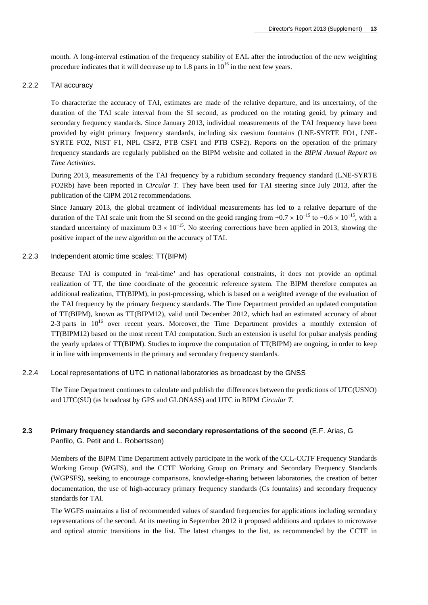month. A long-interval estimation of the frequency stability of EAL after the introduction of the new weighting procedure indicates that it will decrease up to 1.8 parts in  $10^{16}$  in the next few years.

#### 2.2.2 TAI accuracy

To characterize the accuracy of TAI, estimates are made of the relative departure, and its uncertainty, of the duration of the TAI scale interval from the SI second, as produced on the rotating geoid, by primary and secondary frequency standards. Since January 2013, individual measurements of the TAI frequency have been provided by eight primary frequency standards, including six caesium fountains (LNE-SYRTE FO1, LNE-SYRTE FO2, NIST F1, NPL CSF2, PTB CSF1 and PTB CSF2). Reports on the operation of the primary frequency standards are regularly published on the BIPM website and collated in the *BIPM Annual Report on Time Activities*.

During 2013, measurements of the TAI frequency by a rubidium secondary frequency standard (LNE-SYRTE FO2Rb) have been reported in *Circular T*. They have been used for TAI steering since July 2013, after the publication of the CIPM 2012 recommendations.

Since January 2013, the global treatment of individual measurements has led to a relative departure of the duration of the TAI scale unit from the SI second on the geoid ranging from +0.7  $\times$  10<sup>-15</sup> to  $-0.6 \times 10^{-15}$ , with a standard uncertainty of maximum  $0.3 \times 10^{-15}$ . No steering corrections have been applied in 2013, showing the positive impact of the new algorithm on the accuracy of TAI.

### 2.2.3 Independent atomic time scales: TT(BIPM)

Because TAI is computed in 'real-time' and has operational constraints, it does not provide an optimal realization of TT, the time coordinate of the geocentric reference system. The BIPM therefore computes an additional realization, TT(BIPM), in post-processing, which is based on a weighted average of the evaluation of the TAI frequency by the primary frequency standards. The Time Department provided an updated computation of TT(BIPM), known as TT(BIPM12), valid until December 2012, which had an estimated accuracy of about 2-3 parts in  $10^{16}$  over recent years. Moreover, the Time Department provides a monthly extension of TT(BIPM12) based on the most recent TAI computation. Such an extension is useful for pulsar analysis pending the yearly updates of TT(BIPM). Studies to improve the computation of TT(BIPM) are ongoing, in order to keep it in line with improvements in the primary and secondary frequency standards.

### 2.2.4 Local representations of UTC in national laboratories as broadcast by the GNSS

The Time Department continues to calculate and publish the differences between the predictions of UTC(USNO) and UTC(SU) (as broadcast by GPS and GLONASS) and UTC in BIPM *Circular T*.

### **2.3 Primary frequency standards and secondary representations of the second** (E.F. Arias, G Panfilo, G. Petit and L. Robertsson)

Members of the BIPM Time Department actively participate in the work of the CCL-CCTF Frequency Standards Working Group (WGFS), and the CCTF Working Group on Primary and Secondary Frequency Standards (WGPSFS), seeking to encourage comparisons, knowledge-sharing between laboratories, the creation of better documentation, the use of high-accuracy primary frequency standards (Cs fountains) and secondary frequency standards for TAI.

The WGFS maintains a list of recommended values of standard frequencies for applications including secondary representations of the second. At its meeting in September 2012 it proposed additions and updates to microwave and optical atomic transitions in the list. The latest changes to the list, as recommended by the CCTF in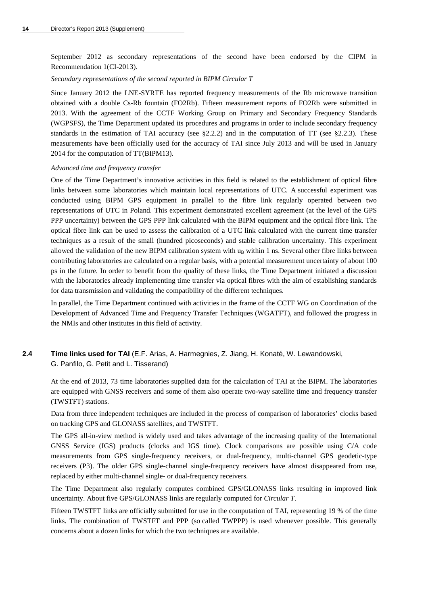September 2012 as secondary representations of the second have been endorsed by the CIPM in Recommendation 1(CI-2013).

#### *Secondary representations of the second reported in BIPM Circular T*

Since January 2012 the LNE-SYRTE has reported frequency measurements of the Rb microwave transition obtained with a double Cs-Rb fountain (FO2Rb). Fifteen measurement reports of FO2Rb were submitted in 2013. With the agreement of the CCTF Working Group on Primary and Secondary Frequency Standards (WGPSFS), the Time Department updated its procedures and programs in order to include secondary frequency standards in the estimation of TAI accuracy (see §2.2.2) and in the computation of TT (see §2.2.3). These measurements have been officially used for the accuracy of TAI since July 2013 and will be used in January 2014 for the computation of TT(BIPM13).

#### *Advanced time and frequency transfer*

One of the Time Department's innovative activities in this field is related to the establishment of optical fibre links between some laboratories which maintain local representations of UTC. A successful experiment was conducted using BIPM GPS equipment in parallel to the fibre link regularly operated between two representations of UTC in Poland. This experiment demonstrated excellent agreement (at the level of the GPS PPP uncertainty) between the GPS PPP link calculated with the BIPM equipment and the optical fibre link. The optical fibre link can be used to assess the calibration of a UTC link calculated with the current time transfer techniques as a result of the small (hundred picoseconds) and stable calibration uncertainty. This experiment allowed the validation of the new BIPM calibration system with  $u_B$  within 1 ns. Several other fibre links between contributing laboratories are calculated on a regular basis, with a potential measurement uncertainty of about 100 ps in the future. In order to benefit from the quality of these links, the Time Department initiated a discussion with the laboratories already implementing time transfer via optical fibres with the aim of establishing standards for data transmission and validating the compatibility of the different techniques.

In parallel, the Time Department continued with activities in the frame of the CCTF WG on Coordination of the Development of Advanced Time and Frequency Transfer Techniques (WGATFT), and followed the progress in the NMIs and other institutes in this field of activity.

### **2.4 Time links used for TAI** (E.F. Arias, A. Harmegnies, Z. Jiang, H. Konaté, W. Lewandowski, G. Panfilo, G. Petit and L. Tisserand)

At the end of 2013, 73 time laboratories supplied data for the calculation of TAI at the BIPM. The laboratories are equipped with GNSS receivers and some of them also operate two-way satellite time and frequency transfer (TWSTFT) stations.

Data from three independent techniques are included in the process of comparison of laboratories' clocks based on tracking GPS and GLONASS satellites, and TWSTFT.

The GPS all-in-view method is widely used and takes advantage of the increasing quality of the International GNSS Service (IGS) products (clocks and IGS time). Clock comparisons are possible using C/A code measurements from GPS single-frequency receivers, or dual-frequency, multi-channel GPS geodetic-type receivers (P3). The older GPS single-channel single-frequency receivers have almost disappeared from use, replaced by either multi-channel single- or dual-frequency receivers.

The Time Department also regularly computes combined GPS/GLONASS links resulting in improved link uncertainty. About five GPS/GLONASS links are regularly computed for *Circular T*.

Fifteen TWSTFT links are officially submitted for use in the computation of TAI, representing 19 % of the time links. The combination of TWSTFT and PPP (so called TWPPP) is used whenever possible. This generally concerns about a dozen links for which the two techniques are available.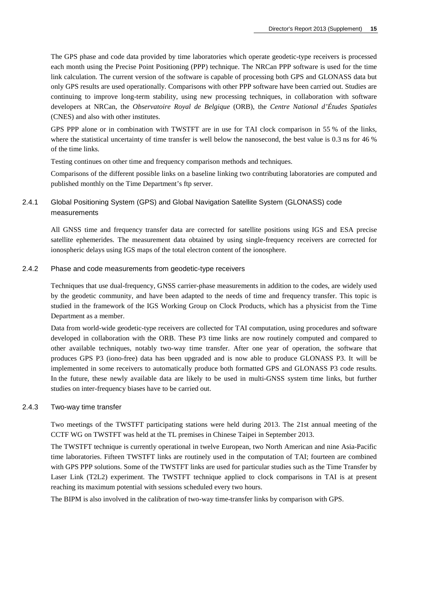The GPS phase and code data provided by time laboratories which operate geodetic-type receivers is processed each month using the Precise Point Positioning (PPP) technique. The NRCan PPP software is used for the time link calculation. The current version of the software is capable of processing both GPS and GLONASS data but only GPS results are used operationally. Comparisons with other PPP software have been carried out. Studies are continuing to improve long-term stability, using new processing techniques, in collaboration with software developers at NRCan, the *Observatoire Royal de Belgique* (ORB), the *Centre National d'Études Spatiales* (CNES) and also with other institutes.

GPS PPP alone or in combination with TWSTFT are in use for TAI clock comparison in 55 % of the links, where the statistical uncertainty of time transfer is well below the nanosecond, the best value is 0.3 ns for 46 % of the time links.

Testing continues on other time and frequency comparison methods and techniques.

Comparisons of the different possible links on a baseline linking two contributing laboratories are computed and published monthly on the Time Department's ftp server.

### 2.4.1 Global Positioning System (GPS) and Global Navigation Satellite System (GLONASS) code measurements

All GNSS time and frequency transfer data are corrected for satellite positions using IGS and ESA precise satellite ephemerides. The measurement data obtained by using single-frequency receivers are corrected for ionospheric delays using IGS maps of the total electron content of the ionosphere.

#### 2.4.2 Phase and code measurements from geodetic-type receivers

Techniques that use dual-frequency, GNSS carrier-phase measurements in addition to the codes, are widely used by the geodetic community, and have been adapted to the needs of time and frequency transfer. This topic is studied in the framework of the IGS Working Group on Clock Products, which has a physicist from the Time Department as a member.

Data from world-wide geodetic-type receivers are collected for TAI computation, using procedures and software developed in collaboration with the ORB. These P3 time links are now routinely computed and compared to other available techniques, notably two-way time transfer. After one year of operation, the software that produces GPS P3 (iono-free) data has been upgraded and is now able to produce GLONASS P3. It will be implemented in some receivers to automatically produce both formatted GPS and GLONASS P3 code results. In the future, these newly available data are likely to be used in multi-GNSS system time links, but further studies on inter-frequency biases have to be carried out.

### 2.4.3 Two-way time transfer

Two meetings of the TWSTFT participating stations were held during 2013. The 21st annual meeting of the CCTF WG on TWSTFT was held at the TL premises in Chinese Taipei in September 2013.

The TWSTFT technique is currently operational in twelve European, two North American and nine Asia-Pacific time laboratories. Fifteen TWSTFT links are routinely used in the computation of TAI; fourteen are combined with GPS PPP solutions. Some of the TWSTFT links are used for particular studies such as the Time Transfer by Laser Link (T2L2) experiment. The TWSTFT technique applied to clock comparisons in TAI is at present reaching its maximum potential with sessions scheduled every two hours.

The BIPM is also involved in the calibration of two-way time-transfer links by comparison with GPS.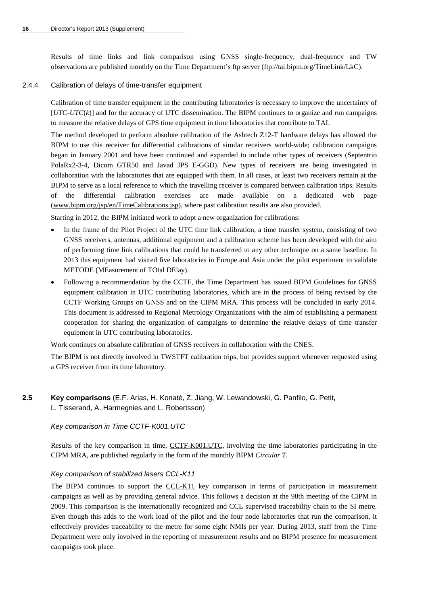Results of time links and link comparison using GNSS single-frequency, dual-frequency and TW observations are published monthly on the Time Department's ftp server [\(ftp://tai.bipm.org/TimeLink/LkC\)](ftp://tai.bipm.org/TimeLink/LkC).

### 2.4.4 Calibration of delays of time-transfer equipment

Calibration of time transfer equipment in the contributing laboratories is necessary to improve the uncertainty of [*UTC*-*UTC*(*k*)] and for the accuracy of UTC dissemination. The BIPM continues to organize and run campaigns to measure the relative delays of GPS time equipment in time laboratories that contribute to TAI.

The method developed to perform absolute calibration of the Ashtech Z12-T hardware delays has allowed the BIPM to use this receiver for differential calibrations of similar receivers world-wide; calibration campaigns began in January 2001 and have been continued and expanded to include other types of receivers (Septentrio PolaRx2-3-4, Dicom GTR50 and Javad JPS E-GGD). New types of receivers are being investigated in collaboration with the laboratories that are equipped with them. In all cases, at least two receivers remain at the BIPM to serve as a local reference to which the travelling receiver is compared between calibration trips. Results of the differential calibration exercises are made available on a dedicated web page [\(www.bipm.org/jsp/en/TimeCalibrations.jsp\)](http://www.bipm.org/jsp/en/TimeCalibrations.jsp), where past calibration results are also provided.

Starting in 2012, the BIPM initiated work to adopt a new organization for calibrations:

- In the frame of the Pilot Project of the UTC time link calibration, a time transfer system, consisting of two GNSS receivers, antennas, additional equipment and a calibration scheme has been developed with the aim of performing time link calibrations that could be transferred to any other technique on a same baseline. In 2013 this equipment had visited five laboratories in Europe and Asia under the pilot experiment to validate METODE (MEasurement of TOtal DElay).
- Following a recommendation by the CCTF, the Time Department has issued BIPM Guidelines for GNSS equipment calibration in UTC contributing laboratories, which are in the process of being revised by the CCTF Working Groups on GNSS and on the CIPM MRA. This process will be concluded in early 2014. This document is addressed to Regional Metrology Organizations with the aim of establishing a permanent cooperation for sharing the organization of campaigns to determine the relative delays of time transfer equipment in UTC contributing laboratories.

Work continues on absolute calibration of GNSS receivers in collaboration with the CNES.

The BIPM is not directly involved in TWSTFT calibration trips, but provides support whenever requested using a GPS receiver from its time laboratory.

### **2.5 Key comparisons** (E.F. Arias, H. Konaté, Z. Jiang, W. Lewandowski, G. Panfilo, G. Petit, L. Tisserand, A. Harmegnies and L. Robertsson)

### *Key comparison in Time CCTF-K001.UTC*

Results of the key comparison in time, [CCTF-K001.UTC,](http://kcdb.bipm.org/appendixB/KCDB_ApB_info.asp?cmp_idy=617&cmp_cod=CCTF-K001.UTC&prov=exalead) involving the time laboratories participating in the CIPM MRA, are published regularly in the form of the monthly BIPM *Circular T*.

### *Key comparison of stabilized lasers CCL-K11*

The BIPM continues to support the [CCL-K11](http://kcdb.bipm.org/appendixB/KCDB_ApB_info.asp?cmp_idy=913&cmp_cod=CCL-K11&page=2&search=2&cmp_cod_search=CCL&met_idy=&bra_idy=&epo_idy=&cmt_idy=&ett_idy_org=&lab_idy=&cou_cod=) key comparison in terms of participation in measurement campaigns as well as by providing general advice. This follows a decision at the 98th meeting of the CIPM in 2009. This comparison is the internationally recognized and CCL supervised traceability chain to the SI metre. Even though this adds to the work load of the pilot and the four node laboratories that run the comparison, it effectively provides traceability to the metre for some eight NMIs per year. During 2013, staff from the Time Department were only involved in the reporting of measurement results and no BIPM presence for measurement campaigns took place.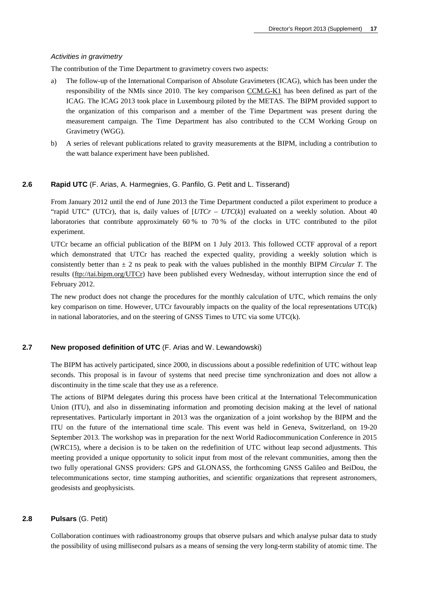### *Activities in gravimetry*

The contribution of the Time Department to gravimetry covers two aspects:

- a) The follow-up of the International Comparison of Absolute Gravimeters (ICAG), which has been under the responsibility of the NMIs since 2010. The key comparison [CCM.G-K1](http://kcdb.bipm.org/appendixB/KCDB_ApB_info.asp?cmp_idy=935&cmp_cod=CCM.G-K1&page=1&search=2&cmp_cod_search=CCM.G&met_idy=&bra_idy=&epo_idy=&cmt_idy=&ett_idy_org=&lab_idy=&cou_cod=) has been defined as part of the ICAG. The ICAG 2013 took place in Luxembourg piloted by the METAS. The BIPM provided support to the organization of this comparison and a member of the Time Department was present during the measurement campaign. The Time Department has also contributed to the CCM Working Group on Gravimetry (WGG).
- b) A series of relevant publications related to gravity measurements at the BIPM, including a contribution to the watt balance experiment have been published.

### **2.6 Rapid UTC** (F. Arias, A. Harmegnies, G. Panfilo, G. Petit and L. Tisserand)

From January 2012 until the end of June 2013 the Time Department conducted a pilot experiment to produce a "rapid UTC" (UTCr), that is, daily values of  $[UTCr - UTC(k)]$  evaluated on a weekly solution. About 40 laboratories that contribute approximately 60 % to 70 % of the clocks in UTC contributed to the pilot experiment.

UTCr became an official publication of the BIPM on 1 July 2013. This followed CCTF approval of a report which demonstrated that UTCr has reached the expected quality, providing a weekly solution which is consistently better than ± 2 ns peak to peak with the values published in the monthly BIPM *Circular T*. The results [\(ftp://tai.bipm.org/UTCr\)](ftp://tai.bipm.org/UTCr) have been published every Wednesday, without interruption since the end of February 2012.

The new product does not change the procedures for the monthly calculation of UTC, which remains the only key comparison on time. However, UTCr favourably impacts on the quality of the local representations UTC(k) in national laboratories, and on the steering of GNSS Times to UTC via some UTC(k).

### **2.7 New proposed definition of UTC** (F. Arias and W. Lewandowski)

The BIPM has actively participated, since 2000, in discussions about a possible redefinition of UTC without leap seconds. This proposal is in favour of systems that need precise time synchronization and does not allow a discontinuity in the time scale that they use as a reference.

The actions of BIPM delegates during this process have been critical at the International Telecommunication Union (ITU), and also in disseminating information and promoting decision making at the level of national representatives. Particularly important in 2013 was the organization of a joint workshop by the BIPM and the ITU on the future of the international time scale. This event was held in Geneva, Switzerland, on 19-20 September 2013. The workshop was in preparation for the next World Radiocommunication Conference in 2015 (WRC15), where a decision is to be taken on the redefinition of UTC without leap second adjustments. This meeting provided a unique opportunity to solicit input from most of the relevant communities, among then the two fully operational GNSS providers: GPS and GLONASS, the forthcoming GNSS Galileo and BeiDou, the telecommunications sector, time stamping authorities, and scientific organizations that represent astronomers, geodesists and geophysicists.

### **2.8 Pulsars** (G. Petit)

Collaboration continues with radioastronomy groups that observe pulsars and which analyse pulsar data to study the possibility of using millisecond pulsars as a means of sensing the very long-term stability of atomic time. The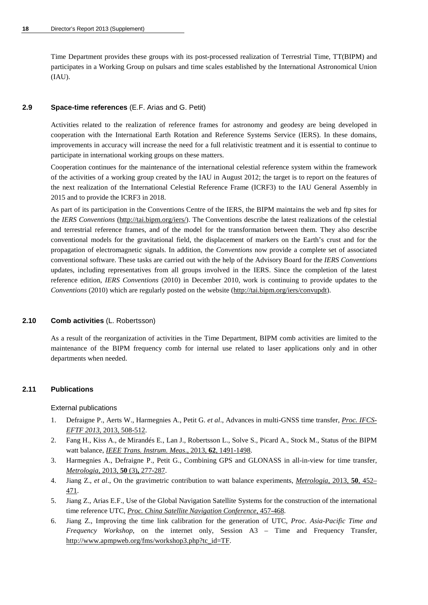Time Department provides these groups with its post-processed realization of Terrestrial Time, TT(BIPM) and participates in a Working Group on pulsars and time scales established by the International Astronomical Union (IAU).

### **2.9 Space-time references** (E.F. Arias and G. Petit)

Activities related to the realization of reference frames for astronomy and geodesy are being developed in cooperation with the International Earth Rotation and Reference Systems Service (IERS). In these domains, improvements in accuracy will increase the need for a full relativistic treatment and it is essential to continue to participate in international working groups on these matters.

Cooperation continues for the maintenance of the international celestial reference system within the framework of the activities of a working group created by the IAU in August 2012; the target is to report on the features of the next realization of the International Celestial Reference Frame (ICRF3) to the IAU General Assembly in 2015 and to provide the ICRF3 in 2018.

As part of its participation in the Conventions Centre of the IERS, the BIPM maintains the web and ftp sites for the *IERS Conventions* [\(http://tai.bipm.org/iers/\)](http://tai.bipm.org/iers/). The Conventions describe the latest realizations of the celestial and terrestrial reference frames, and of the model for the transformation between them. They also describe conventional models for the gravitational field, the displacement of markers on the Earth's crust and for the propagation of electromagnetic signals. In addition, the *Conventions* now provide a complete set of associated conventional software. These tasks are carried out with the help of the Advisory Board for the *IERS Conventions* updates, including representatives from all groups involved in the IERS. Since the completion of the latest reference edition, *IERS Conventions* (2010) in December 2010, work is continuing to provide updates to the *Conventions* (2010) which are regularly posted on the website [\(http://tai.bipm.org/iers/convupdt\)](http://tai.bipm.org/iers/convupdt).

### **2.10 Comb activities** (L. Robertsson)

As a result of the reorganization of activities in the Time Department, BIPM comb activities are limited to the maintenance of the BIPM frequency comb for internal use related to laser applications only and in other departments when needed.

### **2.11 Publications**

External publications

- 1. Defraigne P., Aerts W., Harmegnies A., Petit G. *et al*., Advances in multi-GNSS time transfer, *[Proc. IFCS-](http://dx.doi.org/10.1109/EFTF-IFC.2013.6702126)EFTF 2013,* [2013, 508-512.](http://dx.doi.org/10.1109/EFTF-IFC.2013.6702126)
- 2. Fang H., Kiss A., de Mirandés E., Lan J., Robertsson L., Solve S., Picard A., Stock M., Status of the BIPM watt balance, *IEEE Trans. [Instrum. Meas](http://dx.doi.org/10.1109/TIM.2012.2225930)*., 2013, **62**, 1491-1498.
- 3. Harmegnies A., Defraigne P., Petit G., Combining GPS and GLONASS in all-in-view for time transfer, *[Metrologia](http://stacks.iop.org/0026-1394/50/277)*, 2013, **50** (3)**,** 277-287.
- 4. Jiang Z., *et al*., On the gravimetric contribution to watt balance experiments, *[Metrologia](http://stacks.iop.org/0026-1394/50/452)*, 2013, **50**, 452– [471.](http://stacks.iop.org/0026-1394/50/452)
- 5. Jiang Z., Arias E.F., Use of the Global Navigation Satellite Systems for the construction of the international time reference UTC, *[Proc. China Satellite Navigation Conference](http://dx.doi.org/10.1007/978-3-642-37407-4_43)*, 457-468.
- 6. Jiang Z., Improving the time link calibration for the generation of UTC, *Proc. Asia-Pacific Time and Frequency Workshop*, on the internet only, Session A3 – Time and Frequency Transfer, [http://www.apmpweb.org/fms/workshop3.php?tc\\_id=TF.](http://www.apmpweb.org/fms/workshop3.php?tc_id=TF)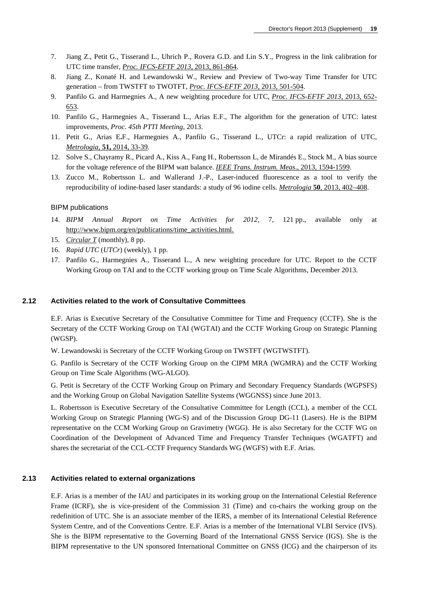- 7. Jiang Z., Petit G., Tisserand L., Uhrich P., Rovera G.D. and Lin S.Y., Progress in the link calibration for UTC time transfer, *[Proc. IFCS-EFTF 2013](http://dx.doi.org/10.1109/EFTF-IFC.2013.6702102)*, 2013, 861-864.
- 8. Jiang Z., Konaté H. and Lewandowski W., Review and Preview of Two-way Time Transfer for UTC generation – from TWSTFT to TWOTFT, *[Proc. IFCS-EFTF 2013](http://dx.doi.org/10.1109/EFTF-IFC.2013.6702103)*, 2013, 501-504.
- 9. Panfilo G. and Harmegnies A., A new weighting procedure for UTC, *[Proc. IFCS-EFTF 2013,](http://dx.doi.org/10.1109/EFTF-IFC.2013.6702122)* 2013, 652- [653.](http://dx.doi.org/10.1109/EFTF-IFC.2013.6702122)
- 10. Panfilo G., Harmegnies A., Tisserand L., Arias E.F., The algorithm for the generation of UTC: latest improvements, *Proc. 45th PTTI Meeting*, 2013.
- 11. Petit G., Arias E**.**F., Harmegnies A., Panfilo G., Tisserand L., UTCr: a rapid realization of UTC, *Metrologia*, **51,** [2014, 33-39.](http://stacks.iop.org/0026-1394/51/33)
- 12. Solve S., Chayramy R., Picard A., Kiss A., Fang H., Robertsson L, de Mirandés E., Stock M., A bias source for the voltage reference of the BIPM watt balance. *IEEE Trans. Instrum. Meas*[., 2013, 1594-1599.](http://dx.doi.org/10.1109/TIM.2013.2242641)
- 13. Zucco M., Robertsson L. and Wallerand J.-P., Laser-induced fluorescence as a tool to verify the reproducibility of iodine-based laser standards: a study of 96 iodine cells. *Metrologia* **50**[, 2013, 402–408.](http://stacks.iop.org/0026-1394/50/402)

### BIPM publications

- 14. *BIPM Annual Report on Time Activities for 2012*, 7, 121 pp., available only at [http://www.bipm.org/en/publications/time\\_activities.html.](http://www.bipm.org/en/publications/time_activities.html)
- 15. *[Circular T](http://www.bipm.org/jsp/en/TimeFtp.jsp?TypePub=publication)* (monthly), 8 pp.
- 16. *Rapid UTC* (*UTCr*) (weekly), 1 pp.
- 17. Panfilo G., Harmegnies A., Tisserand L., A new weighting procedure for UTC. Report to the CCTF Working Group on TAI and to the CCTF working group on Time Scale Algorithms, December 2013.

### **2.12 Activities related to the work of Consultative Committees**

E.F. Arias is Executive Secretary of the Consultative Committee for Time and Frequency (CCTF). She is the Secretary of the CCTF Working Group on TAI (WGTAI) and the CCTF Working Group on Strategic Planning (WGSP).

W. Lewandowski is Secretary of the CCTF Working Group on TWSTFT (WGTWSTFT).

G. Panfilo is Secretary of the CCTF Working Group on the CIPM MRA (WGMRA) and the CCTF Working Group on Time Scale Algorithms (WG-ALGO).

G. Petit is Secretary of the CCTF Working Group on Primary and Secondary Frequency Standards (WGPSFS) and the Working Group on Global Navigation Satellite Systems (WGGNSS) since June 2013.

L. Robertsson is Executive Secretary of the Consultative Committee for Length (CCL), a member of the CCL Working Group on Strategic Planning (WG-S) and of the Discussion Group DG-11 (Lasers). He is the BIPM representative on the CCM Working Group on Gravimetry (WGG). He is also Secretary for the CCTF WG on Coordination of the Development of Advanced Time and Frequency Transfer Techniques (WGATFT) and shares the secretariat of the CCL-CCTF Frequency Standards WG (WGFS) with E.F. Arias.

### **2.13 Activities related to external organizations**

E.F. Arias is a member of the IAU and participates in its working group on the International Celestial Reference Frame (ICRF), she is vice-president of the Commission 31 (Time) and co-chairs the working group on the redefinition of UTC. She is an associate member of the IERS, a member of its International Celestial Reference System Centre, and of the Conventions Centre. E.F. Arias is a member of the International VLBI Service (IVS). She is the BIPM representative to the Governing Board of the International GNSS Service (IGS). She is the BIPM representative to the UN sponsored International Committee on GNSS (ICG) and the chairperson of its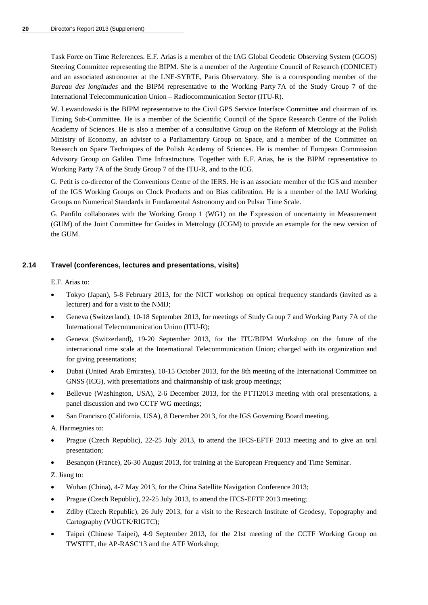Task Force on Time References. E.F. Arias is a member of the IAG Global Geodetic Observing System (GGOS) Steering Committee representing the BIPM. She is a member of the Argentine Council of Research (CONICET) and an associated astronomer at the LNE-SYRTE, Paris Observatory. She is a corresponding member of the *Bureau des longitudes* and the BIPM representative to the Working Party 7A of the Study Group 7 of the International Telecommunication Union – Radiocommunication Sector (ITU-R).

W. Lewandowski is the BIPM representative to the Civil GPS Service Interface Committee and chairman of its Timing Sub-Committee. He is a member of the Scientific Council of the Space Research Centre of the Polish Academy of Sciences. He is also a member of a consultative Group on the Reform of Metrology at the Polish Ministry of Economy, an adviser to a Parliamentary Group on Space, and a member of the Committee on Research on Space Techniques of the Polish Academy of Sciences. He is member of European Commission Advisory Group on Galileo Time Infrastructure. Together with E.F. Arias, he is the BIPM representative to Working Party 7A of the Study Group 7 of the ITU-R, and to the ICG.

G. Petit is co-director of the Conventions Centre of the IERS. He is an associate member of the IGS and member of the IGS Working Groups on Clock Products and on Bias calibration. He is a member of the IAU Working Groups on Numerical Standards in Fundamental Astronomy and on Pulsar Time Scale.

G. Panfilo collaborates with the Working Group 1 (WG1) on the Expression of uncertainty in Measurement (GUM) of the Joint Committee for Guides in Metrology (JCGM) to provide an example for the new version of the GUM.

### **2.14 Travel (conferences, lectures and presentations, visits)**

E.F. Arias to:

- Tokyo (Japan), 5-8 February 2013, for the NICT workshop on optical frequency standards (invited as a lecturer) and for a visit to the NMIJ;
- Geneva (Switzerland), 10-18 September 2013, for meetings of Study Group 7 and Working Party 7A of the International Telecommunication Union (ITU-R);
- Geneva (Switzerland), 19-20 September 2013, for the ITU/BIPM Workshop on the future of the international time scale at the International Telecommunication Union; charged with its organization and for giving presentations;
- Dubai (United Arab Emirates), 10-15 October 2013, for the 8th meeting of the International Committee on GNSS (ICG), with presentations and chairmanship of task group meetings;
- Bellevue (Washington, USA), 2-6 December 2013, for the PTTI2013 meeting with oral presentations, a panel discussion and two CCTF WG meetings;
- San Francisco (California, USA), 8 December 2013, for the IGS Governing Board meeting.

A. Harmegnies to:

- Prague (Czech Republic), 22-25 July 2013, to attend the IFCS-EFTF 2013 meeting and to give an oral presentation;
- Besançon (France), 26-30 August 2013, for training at the European Frequency and Time Seminar.

Z. Jiang to:

- Wuhan (China), 4-7 May 2013, for the China Satellite Navigation Conference 2013;
- Prague (Czech Republic), 22-25 July 2013, to attend the IFCS-EFTF 2013 meeting;
- Zdiby (Czech Republic), 26 July 2013, for a visit to the Research Institute of Geodesy, Topography and Cartography (VÚGTK/RIGTC);
- Taipei (Chinese Taipei), 4-9 September 2013, for the 21st meeting of the CCTF Working Group on TWSTFT, the AP-RASC'13 and the ATF Workshop;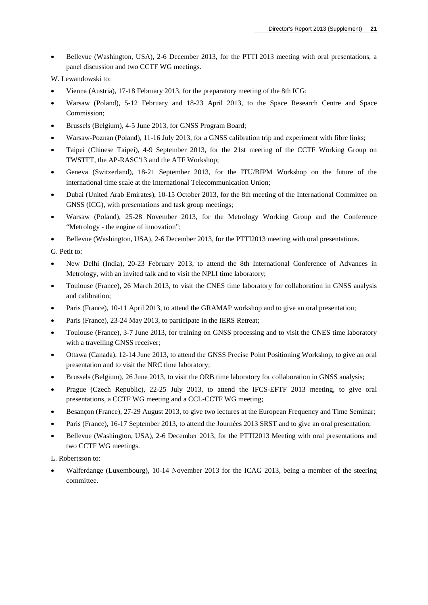- Bellevue (Washington, USA), 2-6 December 2013, for the PTTI 2013 meeting with oral presentations, a panel discussion and two CCTF WG meetings.
- W. Lewandowski to:
- Vienna (Austria), 17-18 February 2013, for the preparatory meeting of the 8th ICG;
- Warsaw (Poland), 5-12 February and 18-23 April 2013, to the Space Research Centre and Space Commission;
- Brussels (Belgium), 4-5 June 2013, for GNSS Program Board;
- Warsaw-Poznan (Poland), 11-16 July 2013, for a GNSS calibration trip and experiment with fibre links;
- Taipei (Chinese Taipei), 4-9 September 2013, for the 21st meeting of the CCTF Working Group on TWSTFT, the AP-RASC'13 and the ATF Workshop;
- Geneva (Switzerland), 18-21 September 2013, for the ITU/BIPM Workshop on the future of the international time scale at the International Telecommunication Union;
- Dubai (United Arab Emirates), 10-15 October 2013, for the 8th meeting of the International Committee on GNSS (ICG), with presentations and task group meetings;
- Warsaw (Poland), 25-28 November 2013, for the Metrology Working Group and the Conference "Metrology - the engine of innovation";
- Bellevue (Washington, USA), 2-6 December 2013, for the PTTI2013 meeting with oral presentations.

G. Petit to:

- New Delhi (India), 20-23 February 2013, to attend the 8th International Conference of Advances in Metrology, with an invited talk and to visit the NPLI time laboratory;
- Toulouse (France), 26 March 2013, to visit the CNES time laboratory for collaboration in GNSS analysis and calibration;
- Paris (France), 10-11 April 2013, to attend the GRAMAP workshop and to give an oral presentation;
- Paris (France), 23-24 May 2013, to participate in the IERS Retreat;
- Toulouse (France), 3-7 June 2013, for training on GNSS processing and to visit the CNES time laboratory with a travelling GNSS receiver:
- Ottawa (Canada), 12-14 June 2013, to attend the GNSS Precise Point Positioning Workshop, to give an oral presentation and to visit the NRC time laboratory;
- Brussels (Belgium), 26 June 2013, to visit the ORB time laboratory for collaboration in GNSS analysis;
- Prague (Czech Republic), 22-25 July 2013, to attend the IFCS-EFTF 2013 meeting, to give oral presentations, a CCTF WG meeting and a CCL-CCTF WG meeting;
- Besançon (France), 27-29 August 2013, to give two lectures at the European Frequency and Time Seminar;
- Paris (France), 16-17 September 2013, to attend the Journées 2013 SRST and to give an oral presentation;
- Bellevue (Washington, USA), 2-6 December 2013, for the PTTI2013 Meeting with oral presentations and two CCTF WG meetings.

L. Robertsson to:

• Walferdange (Luxembourg), 10-14 November 2013 for the ICAG 2013, being a member of the steering committee.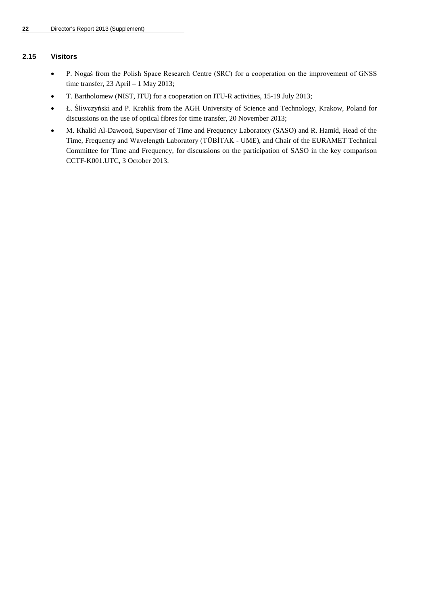### **2.15 Visitors**

- P. Nogaś from the Polish Space Research Centre (SRC) for a cooperation on the improvement of GNSS time transfer, 23 April – 1 May 2013;
- T. Bartholomew (NIST, ITU) for a cooperation on ITU-R activities, 15-19 July 2013;
- Ł. Śliwczyński and P. Krehlik from the AGH University of Science and Technology, Krakow, Poland for discussions on the use of optical fibres for time transfer, 20 November 2013;
- M. Khalid Al-Dawood, Supervisor of Time and Frequency Laboratory (SASO) and R. Hamid, Head of the Time, Frequency and Wavelength Laboratory (TÜBİTAK - UME), and Chair of the EURAMET Technical Committee for Time and Frequency, for discussions on the participation of SASO in the key comparison CCTF-K001.UTC, 3 October 2013.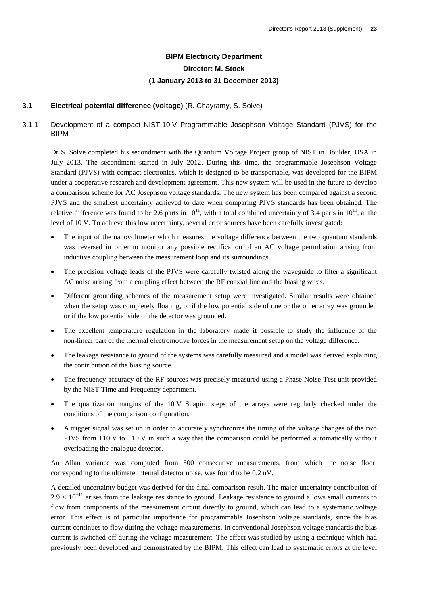## **BIPM Electricity Department Director: M. Stock (1 January 2013 to 31 December 2013)**

### **3.1 Electrical potential difference (voltage)** (R. Chayramy, S. Solve)

3.1.1 Development of a compact NIST 10 V Programmable Josephson Voltage Standard (PJVS) for the BIPM

Dr S. Solve completed his secondment with the Quantum Voltage Project group of NIST in Boulder, USA in July 2013. The secondment started in July 2012. During this time, the programmable Josephson Voltage Standard (PJVS) with compact electronics, which is designed to be transportable, was developed for the BIPM under a cooperative research and development agreement. This new system will be used in the future to develop a comparison scheme for AC Josephson voltage standards. The new system has been compared against a second PJVS and the smallest uncertainty achieved to date when comparing PJVS standards has been obtained. The relative difference was found to be 2.6 parts in  $10^{11}$ , with a total combined uncertainty of 3.4 parts in  $10^{11}$ , at the level of 10 V. To achieve this low uncertainty, several error sources have been carefully investigated:

- The input of the nanovoltmeter which measures the voltage difference between the two quantum standards was reversed in order to monitor any possible rectification of an AC voltage perturbation arising from inductive coupling between the measurement loop and its surroundings.
- The precision voltage leads of the PJVS were carefully twisted along the waveguide to filter a significant AC noise arising from a coupling effect between the RF coaxial line and the biasing wires.
- Different grounding schemes of the measurement setup were investigated. Similar results were obtained when the setup was completely floating, or if the low potential side of one or the other array was grounded or if the low potential side of the detector was grounded.
- The excellent temperature regulation in the laboratory made it possible to study the influence of the non-linear part of the thermal electromotive forces in the measurement setup on the voltage difference.
- The leakage resistance to ground of the systems was carefully measured and a model was derived explaining the contribution of the biasing source.
- The frequency accuracy of the RF sources was precisely measured using a Phase Noise Test unit provided by the NIST Time and Frequency department.
- The quantization margins of the 10 V Shapiro steps of the arrays were regularly checked under the conditions of the comparison configuration.
- A trigger signal was set up in order to accurately synchronize the timing of the voltage changes of the two PJVS from +10 V to −10 V in such a way that the comparison could be performed automatically without overloading the analogue detector.

An Allan variance was computed from 500 consecutive measurements, from which the noise floor, corresponding to the ultimate internal detector noise, was found to be 0.2 nV.

A detailed uncertainty budget was derived for the final comparison result. The major uncertainty contribution of  $2.9 \times 10^{-11}$  arises from the leakage resistance to ground. Leakage resistance to ground allows small currents to flow from components of the measurement circuit directly to ground, which can lead to a systematic voltage error. This effect is of particular importance for programmable Josephson voltage standards, since the bias current continues to flow during the voltage measurements. In conventional Josephson voltage standards the bias current is switched off during the voltage measurement. The effect was studied by using a technique which had previously been developed and demonstrated by the BIPM. This effect can lead to systematic errors at the level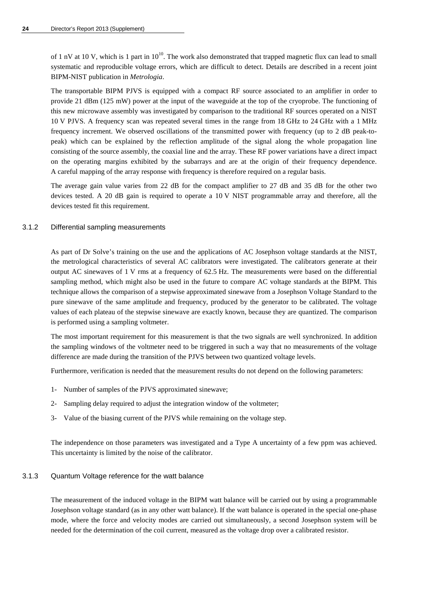of 1 nV at 10 V, which is 1 part in  $10^{10}$ . The work also demonstrated that trapped magnetic flux can lead to small systematic and reproducible voltage errors, which are difficult to detect. Details are described in a recent joint BIPM-NIST publication in *Metrologia*.

The transportable BIPM PJVS is equipped with a compact RF source associated to an amplifier in order to provide 21 dBm (125 mW) power at the input of the waveguide at the top of the cryoprobe. The functioning of this new microwave assembly was investigated by comparison to the traditional RF sources operated on a NIST 10 V PJVS. A frequency scan was repeated several times in the range from 18 GHz to 24 GHz with a 1 MHz frequency increment. We observed oscillations of the transmitted power with frequency (up to 2 dB peak-topeak) which can be explained by the reflection amplitude of the signal along the whole propagation line consisting of the source assembly, the coaxial line and the array. These RF power variations have a direct impact on the operating margins exhibited by the subarrays and are at the origin of their frequency dependence. A careful mapping of the array response with frequency is therefore required on a regular basis.

The average gain value varies from 22 dB for the compact amplifier to 27 dB and 35 dB for the other two devices tested. A 20 dB gain is required to operate a 10 V NIST programmable array and therefore, all the devices tested fit this requirement.

#### 3.1.2 Differential sampling measurements

As part of Dr Solve's training on the use and the applications of AC Josephson voltage standards at the NIST, the metrological characteristics of several AC calibrators were investigated. The calibrators generate at their output AC sinewaves of 1 V rms at a frequency of 62.5 Hz. The measurements were based on the differential sampling method, which might also be used in the future to compare AC voltage standards at the BIPM. This technique allows the comparison of a stepwise approximated sinewave from a Josephson Voltage Standard to the pure sinewave of the same amplitude and frequency, produced by the generator to be calibrated. The voltage values of each plateau of the stepwise sinewave are exactly known, because they are quantized. The comparison is performed using a sampling voltmeter.

The most important requirement for this measurement is that the two signals are well synchronized. In addition the sampling windows of the voltmeter need to be triggered in such a way that no measurements of the voltage difference are made during the transition of the PJVS between two quantized voltage levels.

Furthermore, verification is needed that the measurement results do not depend on the following parameters:

- 1- Number of samples of the PJVS approximated sinewave;
- 2- Sampling delay required to adjust the integration window of the voltmeter;
- 3- Value of the biasing current of the PJVS while remaining on the voltage step.

The independence on those parameters was investigated and a Type A uncertainty of a few ppm was achieved. This uncertainty is limited by the noise of the calibrator.

### 3.1.3 Quantum Voltage reference for the watt balance

The measurement of the induced voltage in the BIPM watt balance will be carried out by using a programmable Josephson voltage standard (as in any other watt balance). If the watt balance is operated in the special one-phase mode, where the force and velocity modes are carried out simultaneously, a second Josephson system will be needed for the determination of the coil current, measured as the voltage drop over a calibrated resistor.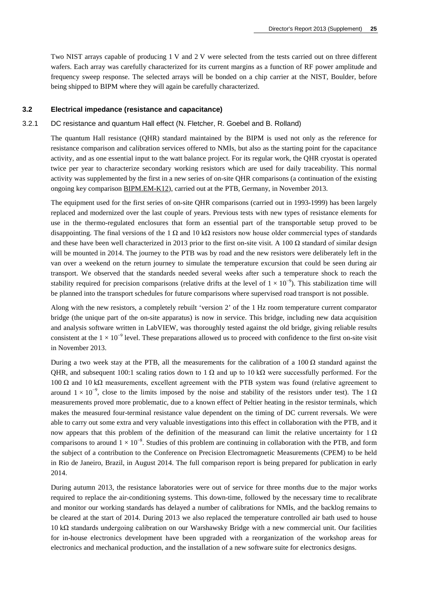Two NIST arrays capable of producing 1 V and 2 V were selected from the tests carried out on three different wafers. Each array was carefully characterized for its current margins as a function of RF power amplitude and frequency sweep response. The selected arrays will be bonded on a chip carrier at the NIST, Boulder, before being shipped to BIPM where they will again be carefully characterized.

#### **3.2 Electrical impedance (resistance and capacitance)**

#### 3.2.1 DC resistance and quantum Hall effect (N. Fletcher, R. Goebel and B. Rolland)

The quantum Hall resistance (QHR) standard maintained by the BIPM is used not only as the reference for resistance comparison and calibration services offered to NMIs, but also as the starting point for the capacitance activity, and as one essential input to the watt balance project. For its regular work, the QHR cryostat is operated twice per year to characterize secondary working resistors which are used for daily traceability. This normal activity was supplemented by the first in a new series of on-site QHR comparisons (a continuation of the existing ongoing key comparison [BIPM.EM-K12\)](http://kcdb.bipm.org/appendixB/KCDB_ApB_info.asp?cmp_idy=60&cmp_cod=BIPM.EM-K12&page=1&search=2&cmp_cod_search=BIPM.EM-K12&met_idy=&bra_idy=&epo_idy=&cmt_idy=&ett_idy_org=&lab_idy=&cou_cod=), carried out at the PTB, Germany, in November 2013.

The equipment used for the first series of on-site QHR comparisons (carried out in 1993-1999) has been largely replaced and modernized over the last couple of years. Previous tests with new types of resistance elements for use in the thermo-regulated enclosures that form an essential part of the transportable setup proved to be disappointing. The final versions of the 1  $\Omega$  and 10 k $\Omega$  resistors now house older commercial types of standards and these have been well characterized in 2013 prior to the first on-site visit. A 100  $\Omega$  standard of similar design will be mounted in 2014. The journey to the PTB was by road and the new resistors were deliberately left in the van over a weekend on the return journey to simulate the temperature excursion that could be seen during air transport. We observed that the standards needed several weeks after such a temperature shock to reach the stability required for precision comparisons (relative drifts at the level of  $1 \times 10^{-9}$ ). This stabilization time will be planned into the transport schedules for future comparisons where supervised road transport is not possible.

Along with the new resistors, a completely rebuilt 'version 2' of the 1 Hz room temperature current comparator bridge (the unique part of the on-site apparatus) is now in service. This bridge, including new data acquisition and analysis software written in LabVIEW, was thoroughly tested against the old bridge, giving reliable results consistent at the  $1 \times 10^{-9}$  level. These preparations allowed us to proceed with confidence to the first on-site visit in November 2013.

During a two week stay at the PTB, all the measurements for the calibration of a 100  $\Omega$  standard against the QHR, and subsequent 100:1 scaling ratios down to 1  $\Omega$  and up to 10 k $\Omega$  were successfully performed. For the 100 Ω and 10 kΩ measurements, excellent agreement with the PTB system was found (relative agreement to around  $1 \times 10^{-9}$ , close to the limits imposed by the noise and stability of the resistors under test). The 1 Ω measurements proved more problematic, due to a known effect of Peltier heating in the resistor terminals, which makes the measured four-terminal resistance value dependent on the timing of DC current reversals. We were able to carry out some extra and very valuable investigations into this effect in collaboration with the PTB, and it now appears that this problem of the definition of the measurand can limit the relative uncertainty for 1  $\Omega$ comparisons to around  $1 \times 10^{-8}$ . Studies of this problem are continuing in collaboration with the PTB, and form the subject of a contribution to the Conference on Precision Electromagnetic Measurements (CPEM) to be held in Rio de Janeiro, Brazil, in August 2014. The full comparison report is being prepared for publication in early 2014.

During autumn 2013, the resistance laboratories were out of service for three months due to the major works required to replace the air-conditioning systems. This down-time, followed by the necessary time to recalibrate and monitor our working standards has delayed a number of calibrations for NMIs, and the backlog remains to be cleared at the start of 2014. During 2013 we also replaced the temperature controlled air bath used to house 10 kΩ standards undergoing calibration on our Warshawsky Bridge with a new commercial unit. Our facilities for in-house electronics development have been upgraded with a reorganization of the workshop areas for electronics and mechanical production, and the installation of a new software suite for electronics designs.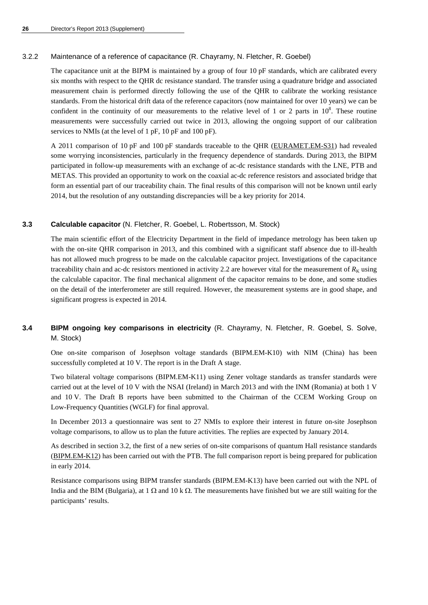### 3.2.2 Maintenance of a reference of capacitance (R. Chayramy, N. Fletcher, R. Goebel)

The capacitance unit at the BIPM is maintained by a group of four 10 pF standards, which are calibrated every six months with respect to the QHR dc resistance standard. The transfer using a quadrature bridge and associated measurement chain is performed directly following the use of the QHR to calibrate the working resistance standards. From the historical drift data of the reference capacitors (now maintained for over 10 years) we can be confident in the continuity of our measurements to the relative level of 1 or 2 parts in  $10<sup>8</sup>$ . These routine measurements were successfully carried out twice in 2013, allowing the ongoing support of our calibration services to NMIs (at the level of 1 pF, 10 pF and 100 pF).

A 2011 comparison of 10 pF and 100 pF standards traceable to the QHR [\(EURAMET.EM-S31\)](http://kcdb.bipm.org/appendixB/KCDB_ApB_info.asp?cmp_idy=939&cmp_cod=EURAMET.EM-S31&page=1&search=2&cmp_cod_search=EURAMET.EM-S31&met_idy=&bra_idy=&epo_idy=&cmt_idy=&ett_idy_org=&lab_idy=&cou_cod=) had revealed some worrying inconsistencies, particularly in the frequency dependence of standards. During 2013, the BIPM participated in follow-up measurements with an exchange of ac-dc resistance standards with the LNE, PTB and METAS. This provided an opportunity to work on the coaxial ac-dc reference resistors and associated bridge that form an essential part of our traceability chain. The final results of this comparison will not be known until early 2014, but the resolution of any outstanding discrepancies will be a key priority for 2014.

### **3.3 Calculable capacitor** (N. Fletcher, R. Goebel, L. Robertsson, M. Stock)

The main scientific effort of the Electricity Department in the field of impedance metrology has been taken up with the on-site QHR comparison in 2013, and this combined with a significant staff absence due to ill-health has not allowed much progress to be made on the calculable capacitor project. Investigations of the capacitance traceability chain and ac-dc resistors mentioned in activity 2.2 are however vital for the measurement of  $R_K$  using the calculable capacitor. The final mechanical alignment of the capacitor remains to be done, and some studies on the detail of the interferometer are still required. However, the measurement systems are in good shape, and significant progress is expected in 2014.

### **3.4 BIPM ongoing key comparisons in electricity** (R. Chayramy, N. Fletcher, R. Goebel, S. Solve, M. Stock)

One on-site comparison of Josephson voltage standards (BIPM.EM-K10) with NIM (China) has been successfully completed at 10 V. The report is in the Draft A stage.

Two bilateral voltage comparisons (BIPM.EM-K11) using Zener voltage standards as transfer standards were carried out at the level of 10 V with the NSAI (Ireland) in March 2013 and with the INM (Romania) at both 1 V and 10 V. The Draft B reports have been submitted to the Chairman of the CCEM Working Group on Low-Frequency Quantities (WGLF) for final approval.

In December 2013 a questionnaire was sent to 27 NMIs to explore their interest in future on-site Josephson voltage comparisons, to allow us to plan the future activities. The replies are expected by January 2014.

As described in section 3.2, the first of a new series of on-site comparisons of quantum Hall resistance standards [\(BIPM.EM-K12\)](http://kcdb.bipm.org/appendixB/KCDB_ApB_info.asp?cmp_idy=60&cmp_cod=BIPM.EM-K12&page=1&search=2&cmp_cod_search=BIPM.EM-K12&met_idy=&bra_idy=&epo_idy=&cmt_idy=&ett_idy_org=&lab_idy=&cou_cod=) has been carried out with the PTB. The full comparison report is being prepared for publication in early 2014.

Resistance comparisons using BIPM transfer standards (BIPM.EM-K13) have been carried out with the NPL of India and the BIM (Bulgaria), at 1 Ω and 10 k Ω. The measurements have finished but we are still waiting for the participants' results.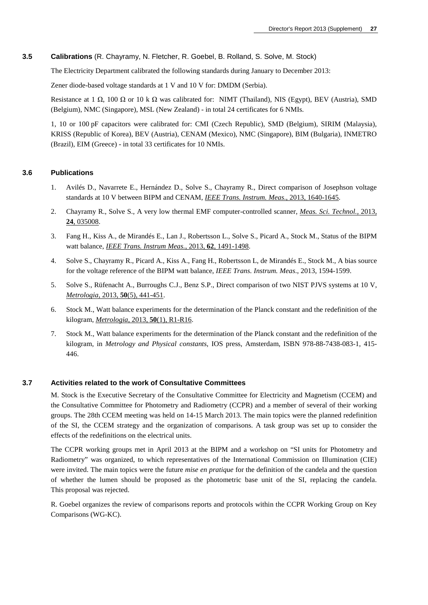### **3.5 Calibrations** (R. Chayramy, N. Fletcher, R. Goebel, B. Rolland, S. Solve, M. Stock)

The Electricity Department calibrated the following standards during January to December 2013:

Zener diode-based voltage standards at 1 V and 10 V for: DMDM (Serbia).

Resistance at 1  $\Omega$ , 100  $\Omega$  or 10 k  $\Omega$  was calibrated for: NIMT (Thailand), NIS (Egypt), BEV (Austria), SMD (Belgium), NMC (Singapore), MSL (New Zealand) - in total 24 certificates for 6 NMIs.

1, 10 or 100 pF capacitors were calibrated for: CMI (Czech Republic), SMD (Belgium), SIRIM (Malaysia), KRISS (Republic of Korea), BEV (Austria), CENAM (Mexico), NMC (Singapore), BIM (Bulgaria), INMETRO (Brazil), EIM (Greece) - in total 33 certificates for 10 NMIs.

### **3.6 Publications**

- 1. Avilés D., Navarrete E., Hernández D., Solve S., Chayramy R., Direct comparison of Josephson voltage standards at 10 V between BIPM and CENAM, *[IEEE Trans. Instrum. Meas](http://dx.doi.org/10.1109/CPEM.2012.6250664)*., 2013, 1640-1645.
- 2. Chayramy R., Solve S., A very low thermal EMF computer-controlled scanner, *[Meas. Sci. Technol.,](http://dx.doi.org/10.1088/0957-0233/24/2/025008)* 2013, **24**[, 035008.](http://dx.doi.org/10.1088/0957-0233/24/2/025008)
- 3. Fang H., Kiss A., de Mirandés E., Lan J., Robertsson L., Solve S., Picard A., Stock M., Status of the BIPM watt balance, *[IEEE Trans. Instrum Meas.](http://dx.doi.org/10.1109/TIM.2012.2225930)*, 2013, **62**, 1491-1498.
- 4. Solve S., Chayramy R., Picard A., Kiss A., Fang H., Robertsson L, de Mirandés E., Stock M., A bias source for the voltage reference of the BIPM watt balance, *IEEE Trans. Instrum. Meas*., 2013, 1594-1599.
- 5. Solve S., Rüfenacht A., Burroughs C.J., Benz S.P., Direct comparison of two NIST PJVS systems at 10 V, *Metrologia*, 2013, **50**[\(5\), 441-451.](http://stacks.iop.org/0026-1394/50/441)
- 6. Stock M., Watt balance experiments for the determination of the Planck constant and the redefinition of the kilogram, *Metrologia*, 2013, **50**[\(1\), R1-R16.](http://stacks.iop.org/0026-1394/50/R1)
- 7. Stock M., Watt balance experiments for the determination of the Planck constant and the redefinition of the kilogram, in *Metrology and Physical constants*, IOS press, Amsterdam, ISBN 978-88-7438-083-1, 415- 446.

#### **3.7 Activities related to the work of Consultative Committees**

M. Stock is the Executive Secretary of the Consultative Committee for Electricity and Magnetism (CCEM) and the Consultative Committee for Photometry and Radiometry (CCPR) and a member of several of their working groups. The 28th CCEM meeting was held on 14-15 March 2013. The main topics were the planned redefinition of the SI, the CCEM strategy and the organization of comparisons. A task group was set up to consider the effects of the redefinitions on the electrical units.

The CCPR working groups met in April 2013 at the BIPM and a workshop on "SI units for Photometry and Radiometry" was organized, to which representatives of the International Commission on Illumination (CIE) were invited. The main topics were the future *mise en pratique* for the definition of the candela and the question of whether the lumen should be proposed as the photometric base unit of the SI, replacing the candela. This proposal was rejected.

R. Goebel organizes the review of comparisons reports and protocols within the CCPR Working Group on Key Comparisons (WG-KC).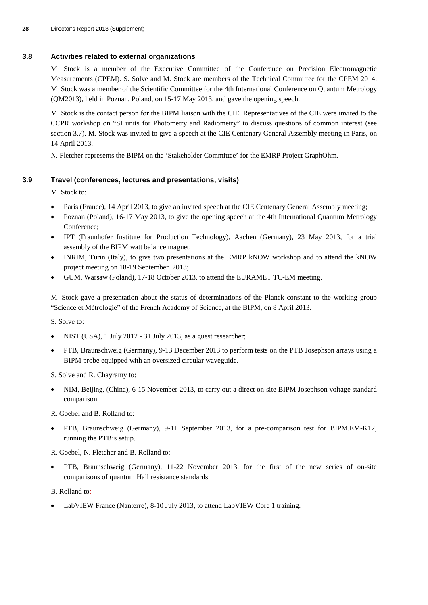### **3.8 Activities related to external organizations**

M. Stock is a member of the Executive Committee of the Conference on Precision Electromagnetic Measurements (CPEM). S. Solve and M. Stock are members of the Technical Committee for the CPEM 2014. M. Stock was a member of the Scientific Committee for the 4th International Conference on Quantum Metrology (QM2013), held in Poznan, Poland, on 15-17 May 2013, and gave the opening speech.

M. Stock is the contact person for the BIPM liaison with the CIE. Representatives of the CIE were invited to the CCPR workshop on "SI units for Photometry and Radiometry" to discuss questions of common interest (see section 3.7). M. Stock was invited to give a speech at the CIE Centenary General Assembly meeting in Paris, on 14 April 2013.

N. Fletcher represents the BIPM on the 'Stakeholder Committee' for the EMRP Project GraphOhm.

### **3.9 Travel (conferences, lectures and presentations, visits)**

M. Stock to:

- Paris (France), 14 April 2013, to give an invited speech at the CIE Centenary General Assembly meeting;
- Poznan (Poland), 16-17 May 2013, to give the opening speech at the 4th International Quantum Metrology Conference;
- IPT (Fraunhofer Institute for Production Technology), Aachen (Germany), 23 May 2013, for a trial assembly of the BIPM watt balance magnet;
- INRIM, Turin (Italy), to give two presentations at the EMRP kNOW workshop and to attend the kNOW project meeting on 18-19 September 2013;
- GUM, Warsaw (Poland), 17-18 October 2013, to attend the EURAMET TC-EM meeting.

M. Stock gave a presentation about the status of determinations of the Planck constant to the working group "Science et Métrologie" of the French Academy of Science, at the BIPM, on 8 April 2013.

S. Solve to:

- NIST (USA), 1 July 2012 31 July 2013, as a guest researcher;
- PTB, Braunschweig (Germany), 9-13 December 2013 to perform tests on the PTB Josephson arrays using a BIPM probe equipped with an oversized circular waveguide.
- S. Solve and R. Chayramy to:
- NIM, Beijing, (China), 6-15 November 2013, to carry out a direct on-site BIPM Josephson voltage standard comparison.

R. Goebel and B. Rolland to:

- PTB, Braunschweig (Germany), 9-11 September 2013, for a pre-comparison test for BIPM.EM-K12, running the PTB's setup.
- R. Goebel, N. Fletcher and B. Rolland to:
- PTB, Braunschweig (Germany), 11-22 November 2013, for the first of the new series of on-site comparisons of quantum Hall resistance standards.

B. Rolland to:

LabVIEW France (Nanterre), 8-10 July 2013, to attend LabVIEW Core 1 training.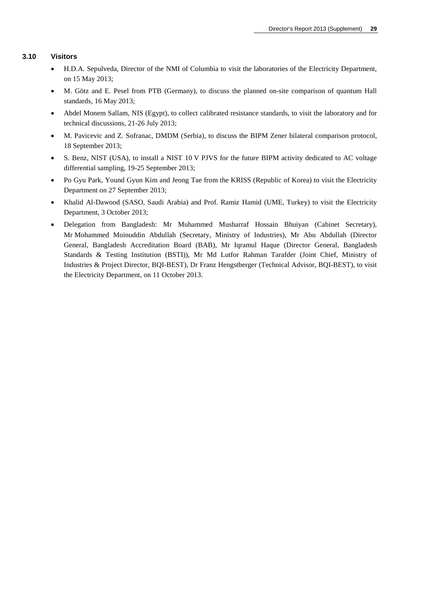### **3.10 Visitors**

- H.D.A. Sepulveda, Director of the NMI of Columbia to visit the laboratories of the Electricity Department, on 15 May 2013;
- M. Götz and E. Pesel from PTB (Germany), to discuss the planned on-site comparison of quantum Hall standards, 16 May 2013;
- Abdel Monem Sallam, NIS (Egypt), to collect calibrated resistance standards, to visit the laboratory and for technical discussions, 21-26 July 2013;
- M. Pavicevic and Z. Sofranac, DMDM (Serbia), to discuss the BIPM Zener bilateral comparison protocol, 18 September 2013;
- S. Benz, NIST (USA), to install a NIST 10 V PJVS for the future BIPM activity dedicated to AC voltage differential sampling, 19-25 September 2013;
- Po Gyu Park, Yound Gyun Kim and Jeong Tae from the KRISS (Republic of Korea) to visit the Electricity Department on 27 September 2013;
- Khalid Al-Dawood (SASO, Saudi Arabia) and Prof. Ramiz Hamid (UME, Turkey) to visit the Electricity Department, 3 October 2013;
- Delegation from Bangladesh: Mr Muhammed Musharraf Hossain Bhuiyan (Cabinet Secretary), Mr Mohammed Moinuddin Abdullah (Secretary, Ministry of Industries), Mr Abu Abdullah (Director General, Bangladesh Accreditation Board (BAB), Mr Iqramul Haque (Director General, Bangladesh Standards & Testing Institution (BSTI)), Mr Md Lutfor Rahman Tarafder (Joint Chief, Ministry of Industries & Project Director, BQI-BEST), Dr Franz Hengstberger (Technical Advisor, BQI-BEST), to visit the Electricity Department, on 11 October 2013.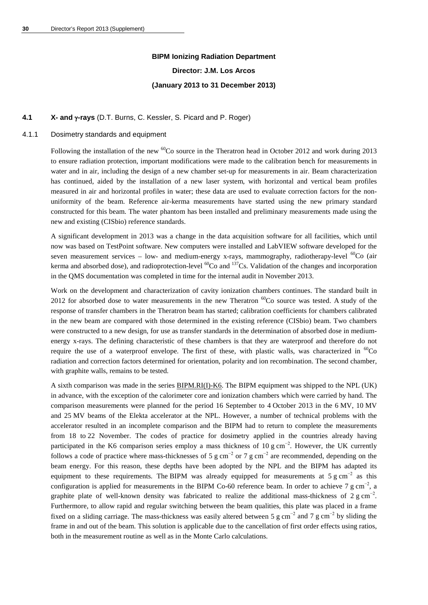# **BIPM Ionizing Radiation Department Director: J.M. Los Arcos (January 2013 to 31 December 2013)**

### **4.1 X- and** γ**-rays** (D.T. Burns, C. Kessler, S. Picard and P. Roger)

#### 4.1.1 Dosimetry standards and equipment

Following the installation of the new <sup>60</sup>Co source in the Theratron head in October 2012 and work during 2013 to ensure radiation protection, important modifications were made to the calibration bench for measurements in water and in air, including the design of a new chamber set-up for measurements in air. Beam characterization has continued, aided by the installation of a new laser system, with horizontal and vertical beam profiles measured in air and horizontal profiles in water; these data are used to evaluate correction factors for the nonuniformity of the beam. Reference air-kerma measurements have started using the new primary standard constructed for this beam. The water phantom has been installed and preliminary measurements made using the new and existing (CISbio) reference standards.

A significant development in 2013 was a change in the data acquisition software for all facilities, which until now was based on TestPoint software. New computers were installed and LabVIEW software developed for the seven measurement services – low- and medium-energy x-rays, mammography, radiotherapy-level  ${}^{60}Co$  (air kerma and absorbed dose), and radioprotection-level <sup>60</sup>Co and <sup>137</sup>Cs. Validation of the changes and incorporation in the QMS documentation was completed in time for the internal audit in November 2013.

Work on the development and characterization of cavity ionization chambers continues. The standard built in 2012 for absorbed dose to water measurements in the new Theratron  ${}^{60}Co$  source was tested. A study of the response of transfer chambers in the Theratron beam has started; calibration coefficients for chambers calibrated in the new beam are compared with those determined in the existing reference (CISbio) beam. Two chambers were constructed to a new design, for use as transfer standards in the determination of absorbed dose in mediumenergy x-rays. The defining characteristic of these chambers is that they are waterproof and therefore do not require the use of a waterproof envelope. The first of these, with plastic walls, was characterized in  ${}^{60}Co$ radiation and correction factors determined for orientation, polarity and ion recombination. The second chamber, with graphite walls, remains to be tested.

A sixth comparison was made in the series [BIPM.RI\(I\)-K6.](http://kcdb.bipm.org/appendixB/KCDB_ApB_info.asp?cmp_idy=958&cmp_cod=BIPM.RI%28I%29-K6&prov=exalead) The BIPM equipment was shipped to the NPL (UK) in advance, with the exception of the calorimeter core and ionization chambers which were carried by hand. The comparison measurements were planned for the period 16 September to 4 October 2013 in the 6 MV, 10 MV and 25 MV beams of the Elekta accelerator at the NPL. However, a number of technical problems with the accelerator resulted in an incomplete comparison and the BIPM had to return to complete the measurements from 18 to 22 November. The codes of practice for dosimetry applied in the countries already having participated in the K6 comparison series employ a mass thickness of 10 g cm<sup>-2</sup>. However, the UK currently follows a code of practice where mass-thicknesses of 5 g cm<sup>-2</sup> or 7 g cm<sup>-2</sup> are recommended, depending on the beam energy. For this reason, these depths have been adopted by the NPL and the BIPM has adapted its equipment to these requirements. The BIPM was already equipped for measurements at 5 g cm<sup>-2</sup> as this configuration is applied for measurements in the BIPM Co-60 reference beam. In order to achieve 7 g cm<sup>-2</sup>, a graphite plate of well-known density was fabricated to realize the additional mass-thickness of 2 g cm<sup>-2</sup>. Furthermore, to allow rapid and regular switching between the beam qualities, this plate was placed in a frame fixed on a sliding carriage. The mass-thickness was easily altered between 5 g cm<sup>-2</sup> and 7 g cm<sup>-2</sup> by sliding the frame in and out of the beam. This solution is applicable due to the cancellation of first order effects using ratios, both in the measurement routine as well as in the Monte Carlo calculations.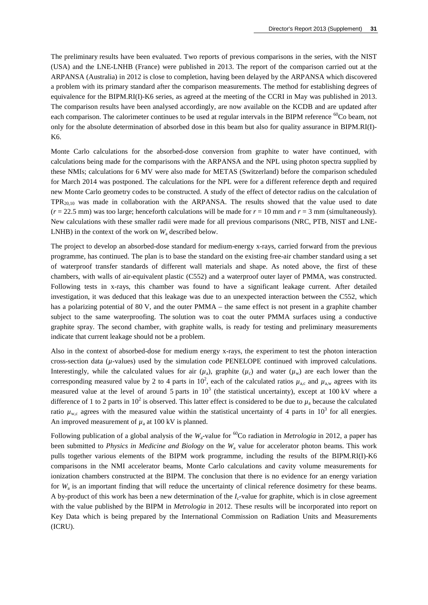The preliminary results have been evaluated. Two reports of previous comparisons in the series, with the NIST (USA) and the LNE-LNHB (France) were published in 2013. The report of the comparison carried out at the ARPANSA (Australia) in 2012 is close to completion, having been delayed by the ARPANSA which discovered a problem with its primary standard after the comparison measurements. The method for establishing degrees of equivalence for the BIPM.RI(I)-K6 series, as agreed at the meeting of the CCRI in May was published in 2013. The comparison results have been analysed accordingly, are now available on the KCDB and are updated after each comparison. The calorimeter continues to be used at regular intervals in the BIPM reference <sup>60</sup>Co beam, not only for the absolute determination of absorbed dose in this beam but also for quality assurance in BIPM.RI(I)- K6.

Monte Carlo calculations for the absorbed-dose conversion from graphite to water have continued, with calculations being made for the comparisons with the ARPANSA and the NPL using photon spectra supplied by these NMIs; calculations for 6 MV were also made for METAS (Switzerland) before the comparison scheduled for March 2014 was postponed. The calculations for the NPL were for a different reference depth and required new Monte Carlo geometry codes to be constructed. A study of the effect of detector radius on the calculation of  $TPR_{20,10}$  was made in collaboration with the ARPANSA. The results showed that the value used to date  $(r = 22.5 \text{ mm})$  was too large; henceforth calculations will be made for  $r = 10 \text{ mm}$  and  $r = 3 \text{ mm}$  (simultaneously). New calculations with these smaller radii were made for all previous comparisons (NRC, PTB, NIST and LNE-LNHB) in the context of the work on  $W_a$  described below.

The project to develop an absorbed-dose standard for medium-energy x-rays, carried forward from the previous programme, has continued. The plan is to base the standard on the existing free-air chamber standard using a set of waterproof transfer standards of different wall materials and shape. As noted above, the first of these chambers, with walls of air-equivalent plastic (C552) and a waterproof outer layer of PMMA, was constructed. Following tests in x-rays, this chamber was found to have a significant leakage current. After detailed investigation, it was deduced that this leakage was due to an unexpected interaction between the C552, which has a polarizing potential of 80 V, and the outer PMMA – the same effect is not present in a graphite chamber subject to the same waterproofing. The solution was to coat the outer PMMA surfaces using a conductive graphite spray. The second chamber, with graphite walls, is ready for testing and preliminary measurements indicate that current leakage should not be a problem.

Also in the context of absorbed-dose for medium energy x-rays, the experiment to test the photon interaction cross-section data (*µ*-values) used by the simulation code PENELOPE continued with improved calculations. Interestingly, while the calculated values for air  $(\mu_a)$ , graphite  $(\mu_c)$  and water  $(\mu_w)$  are each lower than the corresponding measured value by 2 to 4 parts in  $10^2$ , each of the calculated ratios  $\mu_{a,c}$  and  $\mu_{a,w}$  agrees with its measured value at the level of around 5 parts in  $10^3$  (the statistical uncertainty), except at 100 kV where a difference of 1 to 2 parts in 10<sup>2</sup> is observed. This latter effect is considered to be due to  $\mu_a$  because the calculated ratio  $\mu_{\rm w,c}$  agrees with the measured value within the statistical uncertainty of 4 parts in 10<sup>3</sup> for all energies. An improved measurement of  $\mu_a$  at 100 kV is planned.

Following publication of a global analysis of the  $W_a$ -value for <sup>60</sup>Co radiation in *Metrologia* in 2012, a paper has been submitted to *Physics in Medicine and Biology* on the *W*<sup>a</sup> value for accelerator photon beams. This work pulls together various elements of the BIPM work programme, including the results of the BIPM.RI(I)-K6 comparisons in the NMI accelerator beams, Monte Carlo calculations and cavity volume measurements for ionization chambers constructed at the BIPM. The conclusion that there is no evidence for an energy variation for *W<sub>a</sub>* is an important finding that will reduce the uncertainty of clinical reference dosimetry for these beams. A by-product of this work has been a new determination of the *I*c-value for graphite, which is in close agreement with the value published by the BIPM in *Metrologia* in 2012. These results will be incorporated into report on Key Data which is being prepared by the International Commission on Radiation Units and Measurements (ICRU).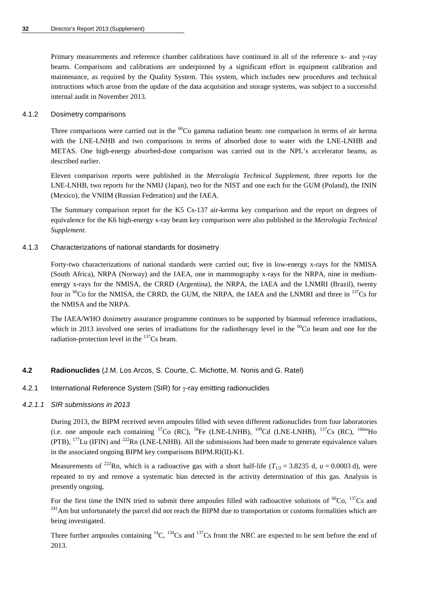Primary measurements and reference chamber calibrations have continued in all of the reference x- and γ-ray beams. Comparisons and calibrations are underpinned by a significant effort in equipment calibration and maintenance, as required by the Quality System. This system, which includes new procedures and technical instructions which arose from the update of the data acquisition and storage systems, was subject to a successful internal audit in November 2013.

### 4.1.2 Dosimetry comparisons

Three comparisons were carried out in the  ${}^{60}Co$  gamma radiation beam: one comparison in terms of air kerma with the LNE-LNHB and two comparisons in terms of absorbed dose to water with the LNE-LNHB and METAS. One high-energy absorbed-dose comparison was carried out in the NPL's accelerator beams, as described earlier.

Eleven comparison reports were published in the *Metrologia Technical Supplement*, three reports for the LNE-LNHB, two reports for the NMIJ (Japan), two for the NIST and one each for the GUM (Poland), the ININ (Mexico), the VNIIM (Russian Federation) and the IAEA.

The Summary comparison report for the K5 Cs-137 air-kerma key comparison and the report on degrees of equivalence for the K6 high-energy x-ray beam key comparison were also published in the *Metrologia Technical Supplement*.

### 4.1.3 Characterizations of national standards for dosimetry

Forty-two characterizations of national standards were carried out; five in low-energy x-rays for the NMISA (South Africa), NRPA (Norway) and the IAEA, one in mammography x-rays for the NRPA, nine in mediumenergy x-rays for the NMISA, the CRRD (Argentina), the NRPA, the IAEA and the LNMRI (Brazil), twenty four in <sup>60</sup>Co for the NMISA, the CRRD, the GUM, the NRPA, the IAEA and the LNMRI and three in <sup>137</sup>Cs for the NMISA and the NRPA.

The IAEA/WHO dosimetry assurance programme continues to be supported by biannual reference irradiations, which in 2013 involved one series of irradiations for the radiotherapy level in the <sup>60</sup>Co beam and one for the radiation-protection level in the  $137Cs$  beam.

### **4.2 Radionuclides** (J.M. Los Arcos, S. Courte, C. Michotte, M. Nonis and G. Ratel)

### 4.2.1 International Reference System (SIR) for γ-ray emitting radionuclides

### *4.2.1.1 SIR submissions in 2013*

During 2013, the BIPM received seven ampoules filled with seven different radionuclides from four laboratories (i.e. one ampoule each containing  ${}^{57}Co$  (RC),  ${}^{59}Fe$  (LNE-LNHB),  ${}^{109}Cd$  (LNE-LNHB),  ${}^{137}Cs$  (RC),  ${}^{166m}Ho$ (PTB),  $^{177}$ Lu (IFIN) and  $^{222}$ Rn (LNE-LNHB). All the submissions had been made to generate equivalence values in the associated ongoing BIPM key comparisons BIPM.RI(II)-K1.

Measurements of <sup>222</sup>Rn, which is a radioactive gas with a short half-life ( $T_{1/2}$  = 3.8235 d, *u* = 0.0003 d), were repeated to try and remove a systematic bias detected in the activity determination of this gas. Analysis is presently ongoing.

For the first time the ININ tried to submit three ampoules filled with radioactive solutions of  ${}^{60}Co$ ,  ${}^{137}Cs$  and  ${}^{241}Am$  but unfortunately the parcel did not reach the BIPM due to transportation or customs formal being investigated.

Three further ampoules containing  ${}^{14}C$ ,  ${}^{134}Cs$  and  ${}^{137}Cs$  from the NRC are expected to be sent before the end of 2013.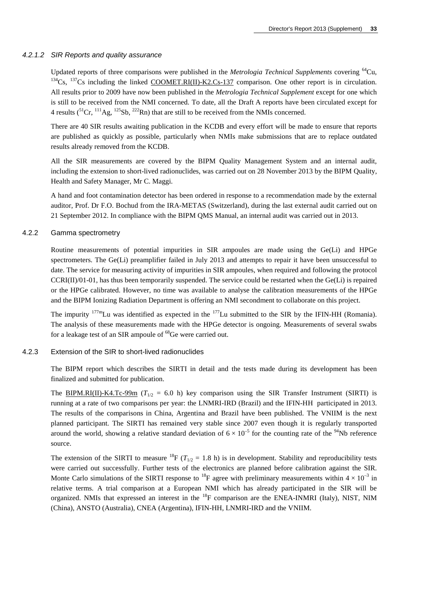#### *4.2.1.2 SIR Reports and quality assurance*

Updated reports of three comparisons were published in the *Metrologia Technical Supplements* covering <sup>64</sup>Cu, <sup>134</sup>Cs, <sup>137</sup>Cs including the linked [COOMET.RI\(II\)-K2.Cs-137](http://kcdb.bipm.org/appendixB/KCDB_ApB_info.asp?cmp_idy=804&cmp_cod=COOMET.RI%28II%29-K2.Cs-137&prov=exalead) comparison. One other report is in circulation. All results prior to 2009 have now been published in the *Metrologia Technical Supplement* except for one which is still to be received from the NMI concerned. To date, all the Draft A reports have been circulated except for 4 results  $(^{51}Cr, ^{111}Ag, ^{125}Sb, ^{222}Rn)$  that are still to be received from the NMIs concerned.

There are 40 SIR results awaiting publication in the KCDB and every effort will be made to ensure that reports are published as quickly as possible, particularly when NMIs make submissions that are to replace outdated results already removed from the KCDB.

All the SIR measurements are covered by the BIPM Quality Management System and an internal audit, including the extension to short-lived radionuclides, was carried out on 28 November 2013 by the BIPM Quality, Health and Safety Manager, Mr C. Maggi.

A hand and foot contamination detector has been ordered in response to a recommendation made by the external auditor, Prof. Dr F.O. Bochud from the IRA-METAS (Switzerland), during the last external audit carried out on 21 September 2012. In compliance with the BIPM QMS Manual, an internal audit was carried out in 2013.

### 4.2.2 Gamma spectrometry

Routine measurements of potential impurities in SIR ampoules are made using the Ge(Li) and HPGe spectrometers. The Ge(Li) preamplifier failed in July 2013 and attempts to repair it have been unsuccessful to date. The service for measuring activity of impurities in SIR ampoules, when required and following the protocol CCRI(II)/01-01, has thus been temporarily suspended. The service could be restarted when the Ge(Li) is repaired or the HPGe calibrated. However, no time was available to analyse the calibration measurements of the HPGe and the BIPM Ionizing Radiation Department is offering an NMI secondment to collaborate on this project.

The impurity  $177 \text{m}$ Lu was identified as expected in the  $177$ Lu submitted to the SIR by the IFIN-HH (Romania). The analysis of these measurements made with the HPGe detector is ongoing. Measurements of several swabs for a leakage test of an SIR ampoule of <sup>68</sup>Ge were carried out.

### 4.2.3 Extension of the SIR to short-lived radionuclides

The BIPM report which describes the SIRTI in detail and the tests made during its development has been finalized and submitted for publication.

The [BIPM.RI\(II\)-K4.Tc-99m](http://kcdb.bipm.org/appendixB/KCDB_ApB_info.asp?cmp_idy=869&cmp_cod=BIPM.RI(II)-K4.Tc-99m&prov=exalead) ( $T_{1/2} = 6.0$  h) key comparison using the SIR Transfer Instrument (SIRTI) is running at a rate of two comparisons per year: the LNMRI-IRD (Brazil) and the IFIN-HH participated in 2013. The results of the comparisons in China, Argentina and Brazil have been published. The VNIIM is the next planned participant. The SIRTI has remained very stable since 2007 even though it is regularly transported around the world, showing a relative standard deviation of  $6 \times 10^{-5}$  for the counting rate of the <sup>94</sup>Nb reference source.

The extension of the SIRTI to measure <sup>18</sup>F ( $T_{1/2}$  = 1.8 h) is in development. Stability and reproducibility tests were carried out successfully. Further tests of the electronics are planned before calibration against the SIR. Monte Carlo simulations of the SIRTI response to <sup>18</sup>F agree with preliminary measurements within  $4 \times 10^{-3}$  in relative terms. A trial comparison at a European NMI which has already participated in the SIR will be organized. NMIs that expressed an interest in the <sup>18</sup>F comparison are the ENEA-INMRI (Italy), NIST, NIM (China), ANSTO (Australia), CNEA (Argentina), IFIN-HH, LNMRI-IRD and the VNIIM.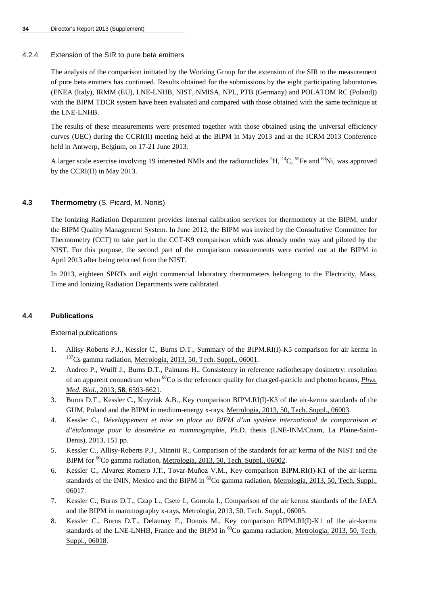### 4.2.4 Extension of the SIR to pure beta emitters

The analysis of the comparison initiated by the Working Group for the extension of the SIR to the measurement of pure beta emitters has continued. Results obtained for the submissions by the eight participating laboratories (ENEA (Italy), IRMM (EU), LNE-LNHB, NIST, NMISA, NPL, PTB (Germany) and POLATOM RC (Poland)) with the BIPM TDCR system have been evaluated and compared with those obtained with the same technique at the LNE-LNHB.

The results of these measurements were presented together with those obtained using the universal efficiency curves (UEC) during the CCRI(II) meeting held at the BIPM in May 2013 and at the ICRM 2013 Conference held in Antwerp, Belgium, on 17-21 June 2013.

A larger scale exercise involving 19 interested NMIs and the radionuclides  ${}^{3}H$ ,  ${}^{14}C$ ,  ${}^{55}Fe$  and  ${}^{63}Ni$ , was approved by the CCRI(II) in May 2013.

### **4.3 Thermometry** (S. Picard, M. Nonis)

The Ionizing Radiation Department provides internal calibration services for thermometry at the BIPM, under the BIPM Quality Management System. In June 2012, the BIPM was invited by the Consultative Committee for Thermometry (CCT) to take part in the [CCT-K9](http://kcdb.bipm.org/appendixB/KCDB_ApB_info.asp?cmp_idy=1193&cmp_cod=CCT-K9&prov=exalead) comparison which was already under way and piloted by the NIST. For this purpose, the second part of the comparison measurements were carried out at the BIPM in April 2013 after being returned from the NIST.

In 2013, eighteen SPRTs and eight commercial laboratory thermometers belonging to the Electricity, Mass, Time and Ionizing Radiation Departments were calibrated.

### **4.4 Publications**

### External publications

- 1. Allisy-Roberts P.J., Kessler C., Burns D.T., Summary of the BIPM.RI(I)-K5 comparison for air kerma in <sup>137</sup>Cs gamma radiation, <u>Metrologia, 2013, 50, Tech. Suppl., 06001</u>.
- 2. Andreo P., Wulff J., Burns D.T., Palmans H., Consistency in reference radiotherapy dosimetry: resolution of an apparent conundrum when 60Co is the reference quality for charged-particle and photon beams, *[Phys.](http://dx.doi.org/10.1088/0031-9155/58/19/6593)  Med. Biol*., 2013, **58**[, 6593-6621.](http://dx.doi.org/10.1088/0031-9155/58/19/6593)
- 3. Burns D.T., Kessler C., Knyziak A.B., Key comparison BIPM.RI(I)-K3 of the air-kerma standards of the GUM, Poland and the BIPM in medium-energy x-rays, [Metrologia, 2013, 50, Tech. Suppl., 06003.](http://stacks.iop.org/0026-1394/50/06003)
- 4. Kessler C., *Développement et mise en place au BIPM d'un système international de comparaison et d'étalonnage pour la dosimétrie en mammographie*, Ph.D. thesis (LNE-INM/Cnam, La Plaine-Saint-Denis), 2013, 151 pp.
- 5. Kessler C., Allisy-Roberts P.J., Minniti R., Comparison of the standards for air kerma of the NIST and the BIPM for <sup>60</sup>Co gamma radiation, [Metrologia, 2013, 50, Tech. Suppl., 06002.](http://stacks.iop.org/0026-1394/50/06002)
- 6. Kessler C., Alvarez Romero J.T., Tovar-Muñoz V.M., Key comparison BIPM.RI(I)-K1 of the air-kerma standards of the ININ, Mexico and the BIPM in <sup>60</sup>Co gamma radiation, Metrologia, 2013, 50, Tech. Suppl., [06017.](http://stacks.iop.org/0026-1394/50/06017)
- 7. Kessler C., Burns D.T., Czap L., Csete I., Gomola I., Comparison of the air kerma standards of the IAEA and the BIPM in mammography x-rays, [Metrologia, 2013, 50, Tech. Suppl., 06005.](http://stacks.iop.org/0026-1394/50/06005)
- 8. Kessler C., Burns D.T., Delaunay F., Donois M., Key comparison BIPM.RI(I)-K1 of the air-kerma standards of the LNE-LNHB, France and the BIPM in <sup>60</sup>Co gamma radiation, Metrologia, 2013, 50, Tech. [Suppl., 06018.](http://stacks.iop.org/0026-1394/50/06018)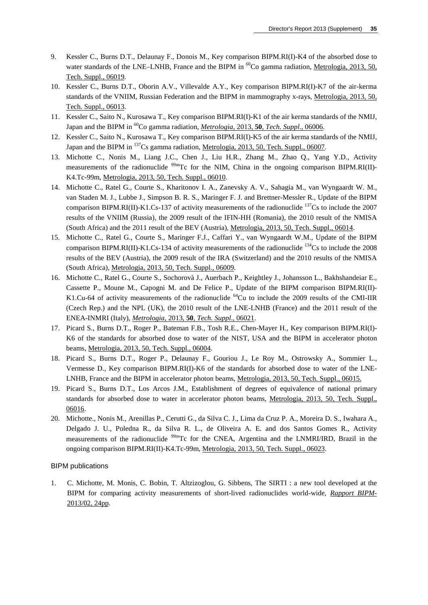- 9. Kessler C., Burns D.T., Delaunay F., Donois M., Key comparison BIPM.RI(I)-K4 of the absorbed dose to water standards of the LNE–LNHB, France and the BIPM in <sup>60</sup>Co gamma radiation, Metrologia, 2013, 50, [Tech. Suppl., 06019.](http://stacks.iop.org/0026-1394/50/06019)
- 10. Kessler C., Burns D.T., Oborin A.V., Villevalde A.Y., Key comparison BIPM.RI(I)-K7 of the air-kerma standards of the VNIIM, Russian Federation and the BIPM in mammography x-rays, [Metrologia, 2013, 50,](http://stacks.iop.org/0026-1394/50/06013)  [Tech. Suppl., 06013.](http://stacks.iop.org/0026-1394/50/06013)
- 11. Kessler C., Saito N., Kurosawa T., Key comparison BIPM.RI(I)-K1 of the air kerma standards of the NMIJ, Japan and the BIPM in 60Co gamma radiation, *Metrologia*, 2013, **50**, *[Tech. Suppl](http://stacks.iop.org/0026-1394/50/06006)*., 06006.
- 12. Kessler C., Saito N., Kurosawa T., Key comparison BIPM.RI(I)-K5 of the air kerma standards of the NMIJ, Japan and the BIPM in <sup>137</sup>Cs gamma radiation, [Metrologia, 2013, 50, Tech. Suppl., 06007.](http://stacks.iop.org/0026-1394/50/06007)
- 13. Michotte C., Nonis M., Liang J.C., Chen J., Liu H.R., Zhang M., Zhao Q., Yang Y.D., Activity measurements of the radionuclide  $^{99m}$ Tc for the NIM, China in the ongoing comparison BIPM.RI(II)-K4.Tc-99m, [Metrologia, 2013, 50, Tech. Suppl., 06010.](http://stacks.iop.org/0026-1394/50/06010)
- 14. Michotte C., Ratel G., Courte S., Kharitonov I. A., Zanevsky A. V., Sahagia M., van Wyngaardt W. M., van Staden M. J., Lubbe J., Simpson B. R. S., Maringer F. J. and Brettner-Messler R., Update of the BIPM comparison BIPM.RI(II)-K1.Cs-137 of activity measurements of the radionuclide  $137$ Cs to include the 2007 results of the VNIIM (Russia), the 2009 result of the IFIN-HH (Romania), the 2010 result of the NMISA (South Africa) and the 2011 result of the BEV (Austria)[, Metrologia, 2013, 50, Tech. Suppl., 06014.](http://stacks.iop.org/0026-1394/50/06014)
- 15. Michotte C., Ratel G., Courte S., Maringer F.J., Caffari Y., van Wyngaardt W.M., Update of the BIPM comparison BIPM.RI(II)-K1.Cs-134 of activity measurements of the radionuclide <sup>134</sup>Cs to include the 2008 results of the BEV (Austria), the 2009 result of the IRA (Switzerland) and the 2010 results of the NMISA (South Africa), [Metrologia, 2013, 50, Tech. Suppl., 06009.](http://stacks.iop.org/0026-1394/50/06009)
- 16. Michotte C., Ratel G., Courte S., Sochorovà J., Auerbach P., Keightley J., Johansson L., Bakhshandeiar E., Cassette P., Moune M., Capogni M. and De Felice P., Update of the BIPM comparison BIPM.RI(II)- K1.Cu-64 of activity measurements of the radionuclide <sup>64</sup>Cu to include the 2009 results of the CMI-IIR (Czech Rep.) and the NPL (UK), the 2010 result of the LNE-LNHB (France) and the 2011 result of the ENEA-INMRI (Italy), *Metrologia*, 2013, **50**, *[Tech. Suppl](http://stacks.iop.org/0026-1394/50/06021)*., 06021.
- 17. Picard S., Burns D.T., Roger P., Bateman F.B., Tosh R.E., Chen-Mayer H., Key comparison BIPM.RI(I)- K6 of the standards for absorbed dose to water of the NIST, USA and the BIPM in accelerator photon beams[, Metrologia, 2013, 50, Tech. Suppl., 06004.](http://stacks.iop.org/0026-1394/50/06004)
- 18. Picard S., Burns D.T., Roger P., Delaunay F., Gouriou J., Le Roy M., Ostrowsky A., Sommier L., Vermesse D., Key comparison BIPM.RI(I)-K6 of the standards for absorbed dose to water of the LNE-LNHB, France and the BIPM in accelerator photon beams, [Metrologia, 2013, 50, Tech. Suppl., 06015.](http://stacks.iop.org/0026-1394/50/06015)
- 19. Picard S., Burns D.T., Los Arcos J.M., Establishment of degrees of equivalence of national primary standards for absorbed dose to water in accelerator photon beams, [Metrologia, 2013, 50, Tech. Suppl.,](http://stacks.iop.org/0026-1394/50/06016)  [06016.](http://stacks.iop.org/0026-1394/50/06016)
- 20. Michotte., Nonis M., Arenillas P., Cerutti G., da Silva C. J., Lima da Cruz P. A., Moreira D. S., Iwahara A., Delgado J. U., Poledna R., da Silva R. L., de Oliveira A. E. and dos Santos Gomes R., Activity measurements of the radionuclide <sup>99m</sup>Tc for the CNEA, Argentina and the LNMRI/IRD, Brazil in the ongoing comparison BIPM.RI(II)-K4.Tc-99m, [Metrologia, 2013, 50, Tech. Suppl., 06023.](http://stacks.iop.org/0026-1394/50/06023)

#### BIPM publications

1. C. Michotte, M. Monis, C. Bobin, T. Altzizoglou, G. Sibbens, The SIRTI : a new tool developed at the BIPM for comparing activity measurements of short-lived radionuclides world-wide, *[Rapport BIPM](http://www.bipm.org/utils/common/pdf/rapportBIPM/2013/02.pdf)*-[2013/02, 24pp.](http://www.bipm.org/utils/common/pdf/rapportBIPM/2013/02.pdf)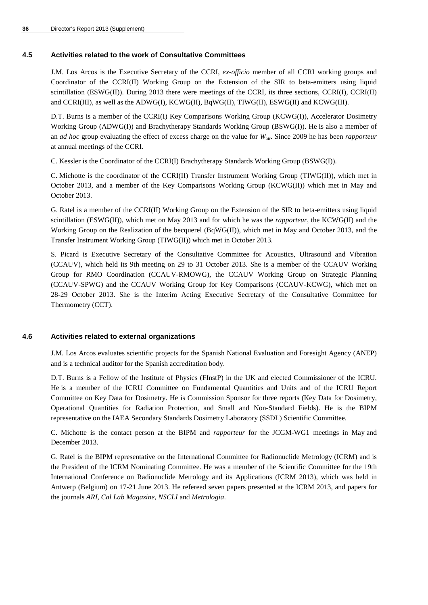### **4.5 Activities related to the work of Consultative Committees**

J.M. Los Arcos is the Executive Secretary of the CCRI, *ex-officio* member of all CCRI working groups and Coordinator of the CCRI(II) Working Group on the Extension of the SIR to beta-emitters using liquid scintillation (ESWG(II)). During 2013 there were meetings of the CCRI, its three sections, CCRI(I), CCRI(II) and CCRI(III), as well as the ADWG(I), KCWG(II), BqWG(II), TIWG(II), ESWG(II) and KCWG(III).

D.T. Burns is a member of the CCRI(I) Key Comparisons Working Group (KCWG(I)), Accelerator Dosimetry Working Group (ADWG(I)) and Brachytherapy Standards Working Group (BSWG(I)). He is also a member of an *ad hoc* group evaluating the effect of excess charge on the value for *W*air. Since 2009 he has been *rapporteur* at annual meetings of the CCRI.

C. Kessler is the Coordinator of the CCRI(I) Brachytherapy Standards Working Group (BSWG(I)).

C. Michotte is the coordinator of the CCRI(II) Transfer Instrument Working Group (TIWG(II)), which met in October 2013, and a member of the Key Comparisons Working Group (KCWG(II)) which met in May and October 2013.

G. Ratel is a member of the CCRI(II) Working Group on the Extension of the SIR to beta-emitters using liquid scintillation (ESWG(II)), which met on May 2013 and for which he was the *rapporteur*, the KCWG(II) and the Working Group on the Realization of the becquerel (BqWG(II)), which met in May and October 2013, and the Transfer Instrument Working Group (TIWG(II)) which met in October 2013.

S. Picard is Executive Secretary of the Consultative Committee for Acoustics, Ultrasound and Vibration (CCAUV), which held its 9th meeting on 29 to 31 October 2013. She is a member of the CCAUV Working Group for RMO Coordination (CCAUV-RMOWG), the CCAUV Working Group on Strategic Planning (CCAUV-SPWG) and the CCAUV Working Group for Key Comparisons (CCAUV-KCWG), which met on 28-29 October 2013. She is the Interim Acting Executive Secretary of the Consultative Committee for Thermometry (CCT).

### **4.6 Activities related to external organizations**

J.M. Los Arcos evaluates scientific projects for the Spanish National Evaluation and Foresight Agency (ANEP) and is a technical auditor for the Spanish accreditation body.

D.T. Burns is a Fellow of the Institute of Physics (FInstP) in the UK and elected Commissioner of the ICRU. He is a member of the ICRU Committee on Fundamental Quantities and Units and of the ICRU Report Committee on Key Data for Dosimetry. He is Commission Sponsor for three reports (Key Data for Dosimetry, Operational Quantities for Radiation Protection, and Small and Non-Standard Fields). He is the BIPM representative on the IAEA Secondary Standards Dosimetry Laboratory (SSDL) Scientific Committee.

C. Michotte is the contact person at the BIPM and *rapporteur* for the JCGM-WG1 meetings in May and December 2013.

G. Ratel is the BIPM representative on the International Committee for Radionuclide Metrology (ICRM) and is the President of the ICRM Nominating Committee. He was a member of the Scientific Committee for the 19th International Conference on Radionuclide Metrology and its Applications (ICRM 2013), which was held in Antwerp (Belgium) on 17-21 June 2013. He refereed seven papers presented at the ICRM 2013, and papers for the journals *ARI*, *Cal Lab Magazine*, *NSCLI* and *Metrologia*.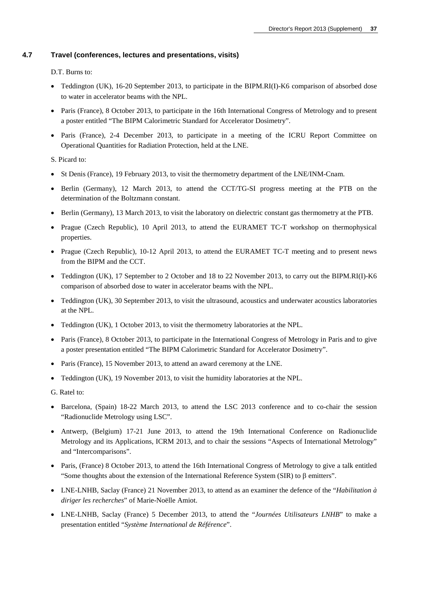### **4.7 Travel (conferences, lectures and presentations, visits)**

D.T. Burns to:

- Teddington (UK), 16-20 September 2013, to participate in the BIPM.RI(I)-K6 comparison of absorbed dose to water in accelerator beams with the NPL.
- Paris (France), 8 October 2013, to participate in the 16th International Congress of Metrology and to present a poster entitled "The BIPM Calorimetric Standard for Accelerator Dosimetry".
- Paris (France), 2-4 December 2013, to participate in a meeting of the ICRU Report Committee on Operational Quantities for Radiation Protection, held at the LNE.

S. Picard to:

- St Denis (France), 19 February 2013, to visit the thermometry department of the LNE/INM-Cnam.
- Berlin (Germany), 12 March 2013, to attend the CCT/TG-SI progress meeting at the PTB on the determination of the Boltzmann constant.
- Berlin (Germany), 13 March 2013, to visit the laboratory on dielectric constant gas thermometry at the PTB.
- Prague (Czech Republic), 10 April 2013, to attend the EURAMET TC-T workshop on thermophysical properties.
- Prague (Czech Republic), 10-12 April 2013, to attend the EURAMET TC-T meeting and to present news from the BIPM and the CCT.
- Teddington (UK), 17 September to 2 October and 18 to 22 November 2013, to carry out the BIPM.RI(I)-K6 comparison of absorbed dose to water in accelerator beams with the NPL.
- Teddington (UK), 30 September 2013, to visit the ultrasound, acoustics and underwater acoustics laboratories at the NPL.
- Teddington (UK), 1 October 2013, to visit the thermometry laboratories at the NPL.
- Paris (France), 8 October 2013, to participate in the International Congress of Metrology in Paris and to give a poster presentation entitled "The BIPM Calorimetric Standard for Accelerator Dosimetry".
- Paris (France), 15 November 2013, to attend an award ceremony at the LNE.
- Teddington (UK), 19 November 2013, to visit the humidity laboratories at the NPL.

G. Ratel to:

- Barcelona, (Spain) 18-22 March 2013, to attend the LSC 2013 conference and to co-chair the session "Radionuclide Metrology using LSC".
- Antwerp, (Belgium) 17-21 June 2013, to attend the 19th International Conference on Radionuclide Metrology and its Applications, ICRM 2013, and to chair the sessions "Aspects of International Metrology" and "Intercomparisons".
- Paris, (France) 8 October 2013, to attend the 16th International Congress of Metrology to give a talk entitled "Some thoughts about the extension of the International Reference System (SIR) to  $\beta$  emitters".
- LNE-LNHB, Saclay (France) 21 November 2013, to attend as an examiner the defence of the "*Habilitation à diriger les recherches*" of Marie-Noëlle Amiot.
- LNE-LNHB, Saclay (France) 5 December 2013, to attend the "*Journées Utilisateurs LNHB*" to make a presentation entitled "*Système International de Référence*".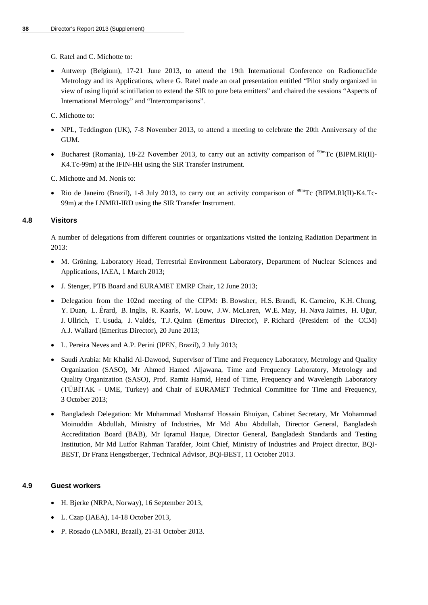G. Ratel and C. Michotte to:

• Antwerp (Belgium), 17-21 June 2013, to attend the 19th International Conference on Radionuclide Metrology and its Applications, where G. Ratel made an oral presentation entitled "Pilot study organized in view of using liquid scintillation to extend the SIR to pure beta emitters" and chaired the sessions "Aspects of International Metrology" and "Intercomparisons".

C. Michotte to:

- NPL, Teddington (UK), 7-8 November 2013, to attend a meeting to celebrate the 20th Anniversary of the GUM.
- Bucharest (Romania), 18-22 November 2013, to carry out an activity comparison of  $\frac{99 \text{m}}{2}$  (BIPM.RI(II)-K4.Tc-99m) at the IFIN-HH using the SIR Transfer Instrument.

C. Michotte and M. Nonis to:

Rio de Janeiro (Brazil), 1-8 July 2013, to carry out an activity comparison of <sup>99m</sup>Tc (BIPM.RI(II)-K4.Tc-99m) at the LNMRI-IRD using the SIR Transfer Instrument.

### **4.8 Visitors**

A number of delegations from different countries or organizations visited the Ionizing Radiation Department in 2013:

- M. Gröning, Laboratory Head, Terrestrial Environment Laboratory, Department of Nuclear Sciences and Applications, IAEA, 1 March 2013;
- J. Stenger, PTB Board and EURAMET EMRP Chair, 12 June 2013;
- Delegation from the 102nd meeting of the CIPM: B. Bowsher, H.S. Brandi, K. Carneiro, K.H. Chung, Y. Duan, L. Érard, B. Inglis, R. Kaarls, W. Louw, J.W. McLaren, W.E. May, H. Nava Jaimes, H. Uğur, J. Ullrich, T. Usuda, J. Valdés, T.J. Quinn (Emeritus Director), P. Richard (President of the CCM) A.J. Wallard (Emeritus Director), 20 June 2013;
- L. Pereira Neves and A.P. Perini (IPEN, Brazil), 2 July 2013;
- Saudi Arabia: Mr Khalid Al-Dawood, Supervisor of Time and Frequency Laboratory, Metrology and Quality Organization (SASO), Mr Ahmed Hamed Aljawana, Time and Frequency Laboratory, Metrology and Quality Organization (SASO), Prof. Ramiz Hamid, Head of Time, Frequency and Wavelength Laboratory (TÜBİTAK - UME, Turkey) and Chair of EURAMET Technical Committee for Time and Frequency, 3 October 2013;
- Bangladesh Delegation: Mr Muhammad Musharraf Hossain Bhuiyan, Cabinet Secretary, Mr Mohammad Moinuddin Abdullah, Ministry of Industries, Mr Md Abu Abdullah, Director General, Bangladesh Accreditation Board (BAB), Mr Iqramul Haque, Director General, Bangladesh Standards and Testing Institution, Mr Md Lutfor Rahman Tarafder, Joint Chief, Ministry of Industries and Project director, BQI-BEST, Dr Franz Hengstberger, Technical Advisor, BQI-BEST, 11 October 2013.

### **4.9 Guest workers**

- H. Bjerke (NRPA, Norway), 16 September 2013,
- L. Czap (IAEA), 14-18 October 2013,
- P. Rosado (LNMRI, Brazil), 21-31 October 2013.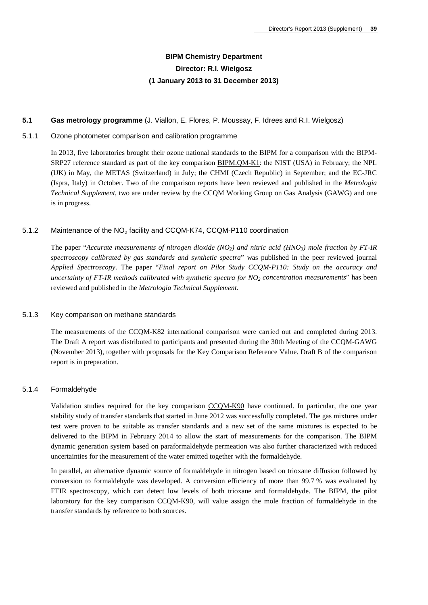# **BIPM Chemistry Department Director: R.I. Wielgosz (1 January 2013 to 31 December 2013)**

### **5.1 Gas metrology programme** (J. Viallon, E. Flores, P. Moussay, F. Idrees and R.I. Wielgosz)

### 5.1.1 Ozone photometer comparison and calibration programme

In 2013, five laboratories brought their ozone national standards to the BIPM for a comparison with the BIPM-SRP27 reference standard as part of the key comparison [BIPM.QM-K1:](http://kcdb.bipm.org/appendixB/KCDB_ApB_info.asp?cmp_idy=733&cmp_cod=BIPM.QM-K1&prov=exalead) the NIST (USA) in February; the NPL (UK) in May, the METAS (Switzerland) in July; the CHMI (Czech Republic) in September; and the EC-JRC (Ispra, Italy) in October. Two of the comparison reports have been reviewed and published in the *Metrologia Technical Supplement*, two are under review by the CCQM Working Group on Gas Analysis (GAWG) and one is in progress.

### 5.1.2 Maintenance of the NO<sub>2</sub> facility and CCQM-K74, CCQM-P110 coordination

The paper "*Accurate measurements of nitrogen dioxide (NO2) and nitric acid (HNO3) mole fraction by FT-IR spectroscopy calibrated by gas standards and synthetic spectra*" was published in the peer reviewed journal *Applied Spectroscopy*. The paper "*Final report on Pilot Study CCQM-P110: Study on the accuracy and uncertainty of FT-IR methods calibrated with synthetic spectra for NO2 concentration measurements*" has been reviewed and published in the *Metrologia Technical Supplement*.

#### 5.1.3 Key comparison on methane standards

The measurements of the [CCQM-K82](http://kcdb.bipm.org/appendixB/KCDB_ApB_info.asp?cmp_idy=1062&cmp_cod=CCQM-K82&prov=exalead) international comparison were carried out and completed during 2013. The Draft A report was distributed to participants and presented during the 30th Meeting of the CCQM-GAWG (November 2013), together with proposals for the Key Comparison Reference Value. Draft B of the comparison report is in preparation.

### 5.1.4 Formaldehyde

Validation studies required for the key comparison [CCQM-K90](http://kcdb.bipm.org/appendixB/KCDB_ApB_info.asp?cmp_idy=1095&cmp_cod=CCQM-K90&prov=exalead) have continued. In particular, the one year stability study of transfer standards that started in June 2012 was successfully completed. The gas mixtures under test were proven to be suitable as transfer standards and a new set of the same mixtures is expected to be delivered to the BIPM in February 2014 to allow the start of measurements for the comparison. The BIPM dynamic generation system based on paraformaldehyde permeation was also further characterized with reduced uncertainties for the measurement of the water emitted together with the formaldehyde.

In parallel, an alternative dynamic source of formaldehyde in nitrogen based on trioxane diffusion followed by conversion to formaldehyde was developed. A conversion efficiency of more than 99.7 % was evaluated by FTIR spectroscopy, which can detect low levels of both trioxane and formaldehyde. The BIPM, the pilot laboratory for the key comparison CCQM-K90, will value assign the mole fraction of formaldehyde in the transfer standards by reference to both sources.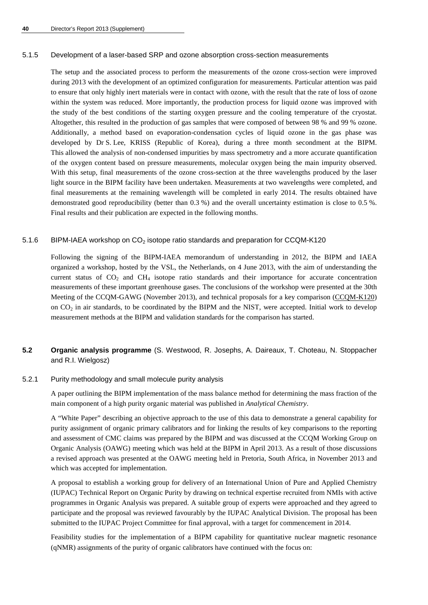#### 5.1.5 Development of a laser-based SRP and ozone absorption cross-section measurements

The setup and the associated process to perform the measurements of the ozone cross-section were improved during 2013 with the development of an optimized configuration for measurements. Particular attention was paid to ensure that only highly inert materials were in contact with ozone, with the result that the rate of loss of ozone within the system was reduced. More importantly, the production process for liquid ozone was improved with the study of the best conditions of the starting oxygen pressure and the cooling temperature of the cryostat. Altogether, this resulted in the production of gas samples that were composed of between 98 % and 99 % ozone. Additionally, a method based on evaporation-condensation cycles of liquid ozone in the gas phase was developed by Dr S. Lee, KRISS (Republic of Korea), during a three month secondment at the BIPM. This allowed the analysis of non-condensed impurities by mass spectrometry and a more accurate quantification of the oxygen content based on pressure measurements, molecular oxygen being the main impurity observed. With this setup, final measurements of the ozone cross-section at the three wavelengths produced by the laser light source in the BIPM facility have been undertaken. Measurements at two wavelengths were completed, and final measurements at the remaining wavelength will be completed in early 2014. The results obtained have demonstrated good reproducibility (better than 0.3 %) and the overall uncertainty estimation is close to 0.5 %. Final results and their publication are expected in the following months.

### 5.1.6 BIPM-IAEA workshop on  $CO<sub>2</sub>$  isotope ratio standards and preparation for CCQM-K120

Following the signing of the BIPM-IAEA memorandum of understanding in 2012, the BIPM and IAEA organized a workshop, hosted by the VSL, the Netherlands, on 4 June 2013, with the aim of understanding the current status of  $CO<sub>2</sub>$  and  $CH<sub>4</sub>$  isotope ratio standards and their importance for accurate concentration measurements of these important greenhouse gases. The conclusions of the workshop were presented at the 30th Meeting of the CCQM-GAWG (November 2013), and technical proposals for a key comparison [\(CCQM-K120\)](http://kcdb.bipm.org/appendixB/KCDB_ApB_info.asp?cmp_idy=1364&cmp_cod=CCQM-K120&prov=exalead) on  $CO<sub>2</sub>$  in air standards, to be coordinated by the BIPM and the NIST, were accepted. Initial work to develop measurement methods at the BIPM and validation standards for the comparison has started.

### **5.2 Organic analysis programme** (S. Westwood, R. Josephs, A. Daireaux, T. Choteau, N. Stoppacher and R.I. Wielgosz)

#### 5.2.1 Purity methodology and small molecule purity analysis

A paper outlining the BIPM implementation of the mass balance method for determining the mass fraction of the main component of a high purity organic material was published in *Analytical Chemistry*.

A "White Paper" describing an objective approach to the use of this data to demonstrate a general capability for purity assignment of organic primary calibrators and for linking the results of key comparisons to the reporting and assessment of CMC claims was prepared by the BIPM and was discussed at the CCQM Working Group on Organic Analysis (OAWG) meeting which was held at the BIPM in April 2013. As a result of those discussions a revised approach was presented at the OAWG meeting held in Pretoria, South Africa, in November 2013 and which was accepted for implementation.

A proposal to establish a working group for delivery of an International Union of Pure and Applied Chemistry (IUPAC) Technical Report on Organic Purity by drawing on technical expertise recruited from NMIs with active programmes in Organic Analysis was prepared. A suitable group of experts were approached and they agreed to participate and the proposal was reviewed favourably by the IUPAC Analytical Division. The proposal has been submitted to the IUPAC Project Committee for final approval, with a target for commencement in 2014.

Feasibility studies for the implementation of a BIPM capability for quantitative nuclear magnetic resonance (qNMR) assignments of the purity of organic calibrators have continued with the focus on: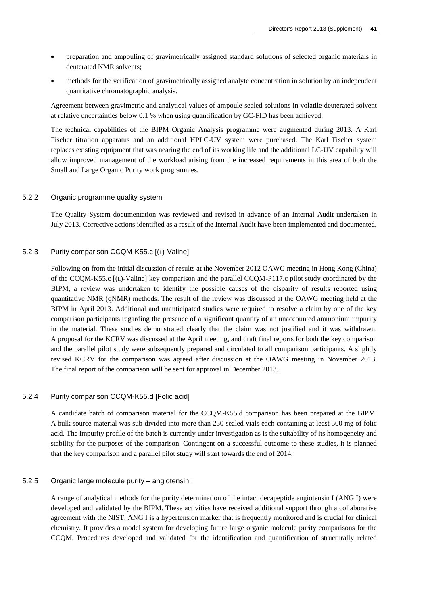- preparation and ampouling of gravimetrically assigned standard solutions of selected organic materials in deuterated NMR solvents;
- methods for the verification of gravimetrically assigned analyte concentration in solution by an independent quantitative chromatographic analysis.

Agreement between gravimetric and analytical values of ampoule-sealed solutions in volatile deuterated solvent at relative uncertainties below 0.1 % when using quantification by GC-FID has been achieved.

The technical capabilities of the BIPM Organic Analysis programme were augmented during 2013. A Karl Fischer titration apparatus and an additional HPLC-UV system were purchased. The Karl Fischer system replaces existing equipment that was nearing the end of its working life and the additional LC-UV capability will allow improved management of the workload arising from the increased requirements in this area of both the Small and Large Organic Purity work programmes.

#### 5.2.2 Organic programme quality system

The Quality System documentation was reviewed and revised in advance of an Internal Audit undertaken in July 2013. Corrective actions identified as a result of the Internal Audit have been implemented and documented.

### 5.2.3 Purity comparison CCQM-K55.c [(L)-Valine]

Following on from the initial discussion of results at the November 2012 OAWG meeting in Hong Kong (China) of the [CCQM-K55.c](http://kcdb.bipm.org/appendixB/KCDB_ApB_info.asp?cmp_idy=1072&cmp_cod=CCQM-K55.c&prov=exalead) [(L)-Valine] key comparison and the parallel CCQM-P117.c pilot study coordinated by the BIPM, a review was undertaken to identify the possible causes of the disparity of results reported using quantitative NMR (qNMR) methods. The result of the review was discussed at the OAWG meeting held at the BIPM in April 2013. Additional and unanticipated studies were required to resolve a claim by one of the key comparison participants regarding the presence of a significant quantity of an unaccounted ammonium impurity in the material. These studies demonstrated clearly that the claim was not justified and it was withdrawn. A proposal for the KCRV was discussed at the April meeting, and draft final reports for both the key comparison and the parallel pilot study were subsequently prepared and circulated to all comparison participants. A slightly revised KCRV for the comparison was agreed after discussion at the OAWG meeting in November 2013. The final report of the comparison will be sent for approval in December 2013.

### 5.2.4 Purity comparison CCQM-K55.d [Folic acid]

A candidate batch of comparison material for the [CCQM-K55.d](http://kcdb.bipm.org/appendixB/KCDB_ApB_info.asp?cmp_idy=1359&cmp_cod=CCQM-K55.d&prov=exalead) comparison has been prepared at the BIPM. A bulk source material was sub-divided into more than 250 sealed vials each containing at least 500 mg of folic acid. The impurity profile of the batch is currently under investigation as is the suitability of its homogeneity and stability for the purposes of the comparison. Contingent on a successful outcome to these studies, it is planned that the key comparison and a parallel pilot study will start towards the end of 2014.

### 5.2.5 Organic large molecule purity – angiotensin I

A range of analytical methods for the purity determination of the intact decapeptide angiotensin I (ANG I) were developed and validated by the BIPM. These activities have received additional support through a collaborative agreement with the NIST. ANG I is a hypertension marker that is frequently monitored and is crucial for clinical chemistry. It provides a model system for developing future large organic molecule purity comparisons for the CCQM. Procedures developed and validated for the identification and quantification of structurally related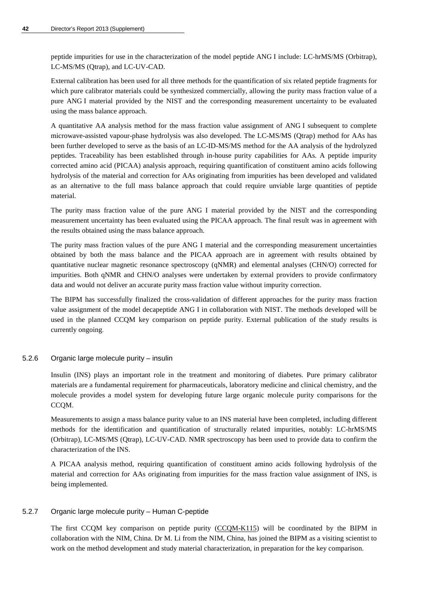peptide impurities for use in the characterization of the model peptide ANG I include: LC-hrMS/MS (Orbitrap), LC-MS/MS (Qtrap), and LC-UV-CAD.

External calibration has been used for all three methods for the quantification of six related peptide fragments for which pure calibrator materials could be synthesized commercially, allowing the purity mass fraction value of a pure ANG I material provided by the NIST and the corresponding measurement uncertainty to be evaluated using the mass balance approach.

A quantitative AA analysis method for the mass fraction value assignment of ANG I subsequent to complete microwave-assisted vapour-phase hydrolysis was also developed. The LC-MS/MS (Qtrap) method for AAs has been further developed to serve as the basis of an LC-ID-MS/MS method for the AA analysis of the hydrolyzed peptides. Traceability has been established through in-house purity capabilities for AAs. A peptide impurity corrected amino acid (PICAA) analysis approach, requiring quantification of constituent amino acids following hydrolysis of the material and correction for AAs originating from impurities has been developed and validated as an alternative to the full mass balance approach that could require unviable large quantities of peptide material.

The purity mass fraction value of the pure ANG I material provided by the NIST and the corresponding measurement uncertainty has been evaluated using the PICAA approach. The final result was in agreement with the results obtained using the mass balance approach.

The purity mass fraction values of the pure ANG I material and the corresponding measurement uncertainties obtained by both the mass balance and the PICAA approach are in agreement with results obtained by quantitative nuclear magnetic resonance spectroscopy (qNMR) and elemental analyses (CHN/O) corrected for impurities. Both qNMR and CHN/O analyses were undertaken by external providers to provide confirmatory data and would not deliver an accurate purity mass fraction value without impurity correction.

The BIPM has successfully finalized the cross-validation of different approaches for the purity mass fraction value assignment of the model decapeptide ANG I in collaboration with NIST. The methods developed will be used in the planned CCQM key comparison on peptide purity. External publication of the study results is currently ongoing.

5.2.6 Organic large molecule purity – insulin

Insulin (INS) plays an important role in the treatment and monitoring of diabetes. Pure primary calibrator materials are a fundamental requirement for pharmaceuticals, laboratory medicine and clinical chemistry, and the molecule provides a model system for developing future large organic molecule purity comparisons for the CCQM.

Measurements to assign a mass balance purity value to an INS material have been completed, including different methods for the identification and quantification of structurally related impurities, notably: LC-hrMS/MS (Orbitrap), LC-MS/MS (Qtrap), LC-UV-CAD. NMR spectroscopy has been used to provide data to confirm the characterization of the INS.

A PICAA analysis method, requiring quantification of constituent amino acids following hydrolysis of the material and correction for AAs originating from impurities for the mass fraction value assignment of INS, is being implemented.

### 5.2.7 Organic large molecule purity – Human C-peptide

The first CCQM key comparison on peptide purity [\(CCQM-K115\)](http://kcdb.bipm.org/appendixB/KCDB_ApB_info.asp?cmp_idy=1339&cmp_cod=CCQM-K115&prov=exalead) will be coordinated by the BIPM in collaboration with the NIM, China. Dr M. Li from the NIM, China, has joined the BIPM as a visiting scientist to work on the method development and study material characterization, in preparation for the key comparison.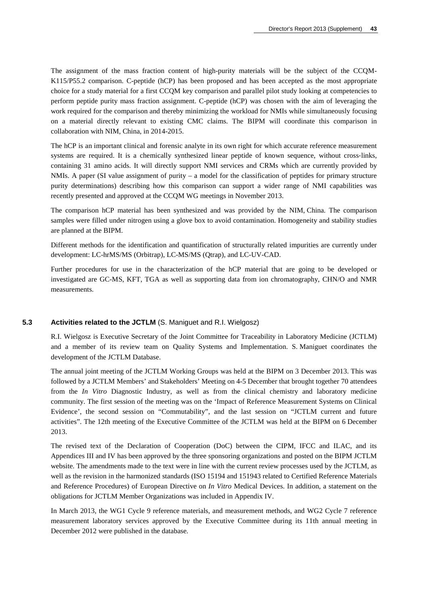The assignment of the mass fraction content of high-purity materials will be the subject of the CCQM-K115/P55.2 comparison. C-peptide (hCP) has been proposed and has been accepted as the most appropriate choice for a study material for a first CCQM key comparison and parallel pilot study looking at competencies to perform peptide purity mass fraction assignment. C-peptide (hCP) was chosen with the aim of leveraging the work required for the comparison and thereby minimizing the workload for NMIs while simultaneously focusing on a material directly relevant to existing CMC claims. The BIPM will coordinate this comparison in collaboration with NIM, China, in 2014-2015.

The hCP is an important clinical and forensic analyte in its own right for which accurate reference measurement systems are required. It is a chemically synthesized linear peptide of known sequence, without cross‐links, containing 31 amino acids. It will directly support NMI services and CRMs which are currently provided by NMIs. A paper (SI value assignment of purity – a model for the classification of peptides for primary structure purity determinations) describing how this comparison can support a wider range of NMI capabilities was recently presented and approved at the CCQM WG meetings in November 2013.

The comparison hCP material has been synthesized and was provided by the NIM, China. The comparison samples were filled under nitrogen using a glove box to avoid contamination. Homogeneity and stability studies are planned at the BIPM.

Different methods for the identification and quantification of structurally related impurities are currently under development: LC-hrMS/MS (Orbitrap), LC-MS/MS (Qtrap), and LC-UV-CAD.

Further procedures for use in the characterization of the hCP material that are going to be developed or investigated are GC-MS, KFT, TGA as well as supporting data from ion chromatography, CHN/O and NMR measurements.

### **5.3 Activities related to the JCTLM** (S. Maniguet and R.I. Wielgosz)

R.I. Wielgosz is Executive Secretary of the Joint Committee for Traceability in Laboratory Medicine (JCTLM) and a member of its review team on Quality Systems and Implementation. S. Maniguet coordinates the development of the JCTLM Database.

The annual joint meeting of the JCTLM Working Groups was held at the BIPM on 3 December 2013. This was followed by a JCTLM Members' and Stakeholders' Meeting on 4-5 December that brought together 70 attendees from the *In Vitro* Diagnostic Industry, as well as from the clinical chemistry and laboratory medicine community. The first session of the meeting was on the 'Impact of Reference Measurement Systems on Clinical Evidence', the second session on "Commutability", and the last session on "JCTLM current and future activities". The 12th meeting of the Executive Committee of the JCTLM was held at the BIPM on 6 December 2013.

The revised text of the Declaration of Cooperation (DoC) between the CIPM, IFCC and ILAC, and its Appendices III and IV has been approved by the three sponsoring organizations and posted on the BIPM JCTLM website. The amendments made to the text were in line with the current review processes used by the JCTLM, as well as the revision in the harmonized standards (ISO 15194 and 151943 related to Certified Reference Materials and Reference Procedures) of European Directive on *In Vitro* Medical Devices. In addition, a statement on the obligations for JCTLM Member Organizations was included in Appendix IV.

In March 2013, the WG1 Cycle 9 reference materials, and measurement methods, and WG2 Cycle 7 reference measurement laboratory services approved by the Executive Committee during its 11th annual meeting in December 2012 were published in the database.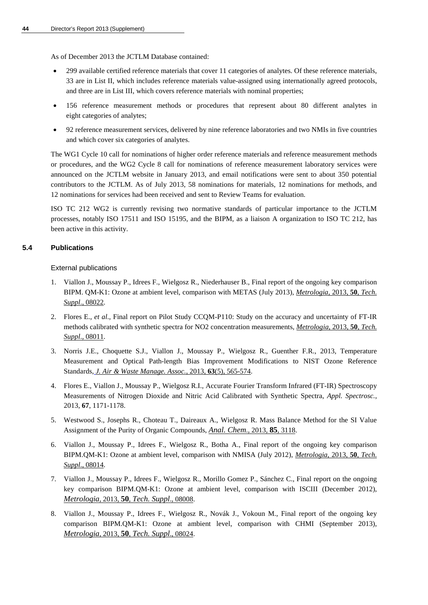As of December 2013 the [JCTLM Database](http://www.bipm.org/jctlm/) contained:

- 299 available certified reference materials that cover 11 categories of analytes. Of these reference materials, 33 are in List II, which includes reference materials value-assigned using internationally agreed protocols, and three are in List III, which covers reference materials with nominal properties;
- 156 reference measurement methods or procedures that represent about 80 different analytes in eight categories of analytes;
- 92 reference measurement services, delivered by nine reference laboratories and two NMIs in five countries and which cover six categories of analytes.

The WG1 Cycle 10 call for nominations of higher order reference materials and reference measurement methods or procedures, and the WG2 Cycle 8 call for nominations of reference measurement laboratory services were announced on the JCTLM website in January 2013, and email notifications were sent to about 350 potential contributors to the JCTLM. As of July 2013, 58 nominations for materials, 12 nominations for methods, and 12 nominations for services had been received and sent to Review Teams for evaluation.

ISO TC 212 WG2 is currently revising two normative standards of particular importance to the JCTLM processes, notably ISO 17511 and ISO 15195, and the BIPM, as a liaison A organization to ISO TC 212, has been active in this activity.

### **5.4 Publications**

### External publications

- 1. Viallon J., Moussay P., Idrees F., Wielgosz R., Niederhauser B., Final report of the ongoing key comparison BIPM. QM-K1: Ozone at ambient level, comparison with METAS (July 2013), *[Metrologia](http://stacks.iop.org/0026-1394/50/08022)*, 2013, **50**, *Tech. Suppl*[., 08022.](http://stacks.iop.org/0026-1394/50/08022)
- 2. Flores E., *et al*., Final report on Pilot Study CCQM-P110: Study on the accuracy and uncertainty of FT-IR methods calibrated with synthetic spectra for NO2 concentration measurements, *[Metrologia](http://stacks.iop.org/0026-1394/50/08011)*, 2013, **50**, *Tech. Suppl*[., 08011.](http://stacks.iop.org/0026-1394/50/08011)
- 3. Norris J.E., Choquette S.J., Viallon J., Moussay P., Wielgosz R., Guenther F.R., 2013, Temperature Measurement and Optical Path-length Bias Improvement Modifications to NIST Ozone Reference Standards, *[J. Air & Waste Manage. Assoc.](http://dx.doi.org/10.1080/10962247.2013.773951)*, 2013, **63**(5), 565-574.
- 4. Flores E., Viallon J., Moussay P., Wielgosz R.I., Accurate Fourier Transform Infrared (FT-IR) Spectroscopy Measurements of Nitrogen Dioxide and Nitric Acid Calibrated with Synthetic Spectra, *Appl. Spectrosc.*, 2013, **67**, 1171-1178.
- 5. Westwood S., Josephs R., Choteau T., Daireaux A., Wielgosz R. Mass Balance Method for the SI Value Assignment of the Purity of Organic Compounds, *[Anal. Chem](http://dx.doi.org/10.1021/ac303329k)*., 2013, **85**, 3118.
- 6. Viallon J., Moussay P., Idrees F., Wielgosz R., Botha A., Final report of the ongoing key comparison BIPM.QM-K1: Ozone at ambient level, comparison with NMISA (July 2012), *[Metrologia](http://stacks.iop.org/0026-1394/50/08014)*, 2013, **50**, *Tech. Suppl*[., 08014.](http://stacks.iop.org/0026-1394/50/08014)
- 7. Viallon J., Moussay P., Idrees F., Wielgosz R., Morillo Gomez P., Sánchez C., Final report on the ongoing key comparison BIPM.QM-K1: Ozone at ambient level, comparison with ISCIII (December 2012), *Metrologia*, 2013, **50**, *[Tech. Suppl](http://stacks.iop.org/0026-1394/50/08008)*., 08008.
- 8. Viallon J., Moussay P., Idrees F., Wielgosz R., Novák J., Vokoun M., Final report of the ongoing key comparison BIPM.QM-K1: Ozone at ambient level, comparison with CHMI (September 2013), *Metrologia*, 2013, **50**, *[Tech. Suppl](http://stacks.iop.org/0026-1394/50/08024)*., 08024.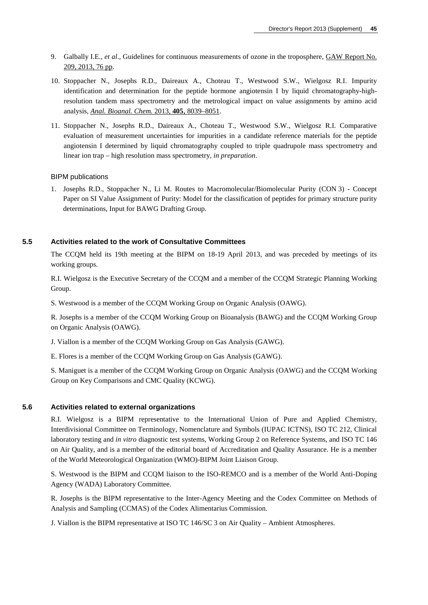- 9. Galbally I.E., *et al*., Guidelines for continuous measurements of ozone in the troposphere, [GAW Report No.](http://www.wmo.int/pages/prog/arep/gaw/documents/Final_GAW_209_web.pdf)  [209, 2013, 76 pp.](http://www.wmo.int/pages/prog/arep/gaw/documents/Final_GAW_209_web.pdf)
- 10. Stoppacher N., Josephs R.D., Daireaux A., Choteau T., Westwood S.W., Wielgosz R.I. Impurity identification and determination for the peptide hormone angiotensin I by liquid chromatography-highresolution tandem mass spectrometry and the metrological impact on value assignments by amino acid analysis, *[Anal. Bioanal. Chem.](http://dx.doi.org/10.1007/s00216-013-6953-7)* 2013, **405**, 8039–8051.
- 11. Stoppacher N., Josephs R.D., Daireaux A., Choteau T., Westwood S.W., Wielgosz R.I. Comparative evaluation of measurement uncertainties for impurities in a candidate reference materials for the peptide angiotensin I determined by liquid chromatography coupled to triple quadrupole mass spectrometry and linear ion trap – high resolution mass spectrometry*, in preparation*.

### BIPM publications

1. Josephs R.D., Stoppacher N., Li M. Routes to Macromolecular/Biomolecular Purity (CON 3) - Concept Paper on SI Value Assignment of Purity: Model for the classification of peptides for primary structure purity determinations, Input for BAWG Drafting Group.

### **5.5 Activities related to the work of Consultative Committees**

The CCQM held its 19th meeting at the BIPM on 18-19 April 2013, and was preceded by meetings of its working groups.

R.I. Wielgosz is the Executive Secretary of the CCQM and a member of the CCQM Strategic Planning Working Group.

S. Westwood is a member of the CCQM Working Group on Organic Analysis (OAWG).

R. Josephs is a member of the CCQM Working Group on Bioanalysis (BAWG) and the CCQM Working Group on Organic Analysis (OAWG).

J. Viallon is a member of the CCQM Working Group on Gas Analysis (GAWG).

E. Flores is a member of the CCQM Working Group on Gas Analysis (GAWG).

S. Maniguet is a member of the CCQM Working Group on Organic Analysis (OAWG) and the CCQM Working Group on Key Comparisons and CMC Quality (KCWG).

### **5.6 Activities related to external organizations**

R.I. Wielgosz is a BIPM representative to the International Union of Pure and Applied Chemistry, Interdivisional Committee on Terminology, Nomenclature and Symbols (IUPAC ICTNS), ISO TC 212, Clinical laboratory testing and *in vitro* diagnostic test systems, Working Group 2 on Reference Systems, and ISO TC 146 on Air Quality, and is a member of the editorial board of Accreditation and Quality Assurance. He is a member of the World Meteorological Organization (WMO)-BIPM Joint Liaison Group.

S. Westwood is the BIPM and CCQM liaison to the ISO-REMCO and is a member of the World Anti-Doping Agency (WADA) Laboratory Committee.

R. Josephs is the BIPM representative to the Inter-Agency Meeting and the Codex Committee on Methods of Analysis and Sampling (CCMAS) of the Codex Alimentarius Commission.

J. Viallon is the BIPM representative at ISO TC 146/SC 3 on Air Quality – Ambient Atmospheres.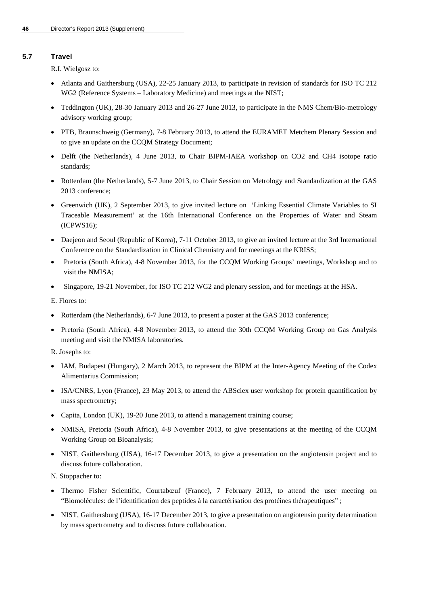### **5.7 Travel**

R.I. Wielgosz to:

- Atlanta and Gaithersburg (USA), 22-25 January 2013, to participate in revision of standards for ISO TC 212 WG2 (Reference Systems – Laboratory Medicine) and meetings at the NIST;
- Teddington (UK), 28-30 January 2013 and 26-27 June 2013, to participate in the NMS Chem/Bio-metrology advisory working group;
- PTB, Braunschweig (Germany), 7-8 February 2013, to attend the EURAMET Metchem Plenary Session and to give an update on the CCQM Strategy Document;
- Delft (the Netherlands), 4 June 2013, to Chair BIPM-IAEA workshop on CO2 and CH4 isotope ratio standards;
- Rotterdam (the Netherlands), 5-7 June 2013, to Chair Session on Metrology and Standardization at the GAS 2013 conference;
- Greenwich (UK), 2 September 2013, to give invited lecture on 'Linking Essential Climate Variables to SI Traceable Measurement' at the 16th International Conference on the Properties of Water and Steam (ICPWS16);
- Daejeon and Seoul (Republic of Korea), 7-11 October 2013, to give an invited lecture at the 3rd International Conference on the Standardization in Clinical Chemistry and for meetings at the KRISS;
- Pretoria (South Africa), 4-8 November 2013, for the CCQM Working Groups' meetings, Workshop and to visit the NMISA;
- Singapore, 19-21 November, for ISO TC 212 WG2 and plenary session, and for meetings at the HSA.

E. Flores to:

- Rotterdam (the Netherlands), 6-7 June 2013, to present a poster at the GAS 2013 conference;
- Pretoria (South Africa), 4-8 November 2013, to attend the 30th CCQM Working Group on Gas Analysis meeting and visit the NMISA laboratories.
- R. Josephs to:
- IAM, Budapest (Hungary), 2 March 2013, to represent the BIPM at the Inter-Agency Meeting of the Codex Alimentarius Commission;
- ISA/CNRS, Lyon (France), 23 May 2013, to attend the ABSciex user workshop for protein quantification by mass spectrometry;
- Capita, London (UK), 19-20 June 2013, to attend a management training course;
- NMISA, Pretoria (South Africa), 4-8 November 2013, to give presentations at the meeting of the CCQM Working Group on Bioanalysis;
- NIST, Gaithersburg (USA), 16-17 December 2013, to give a presentation on the angiotensin project and to discuss future collaboration.

N. Stoppacher to:

- Thermo Fisher Scientific, Courtabœuf (France), 7 February 2013, to attend the user meeting on "Biomolécules: de l'identification des peptides à la caractérisation des protéines thérapeutiques" ;
- NIST, Gaithersburg (USA), 16-17 December 2013, to give a presentation on angiotensin purity determination by mass spectrometry and to discuss future collaboration.